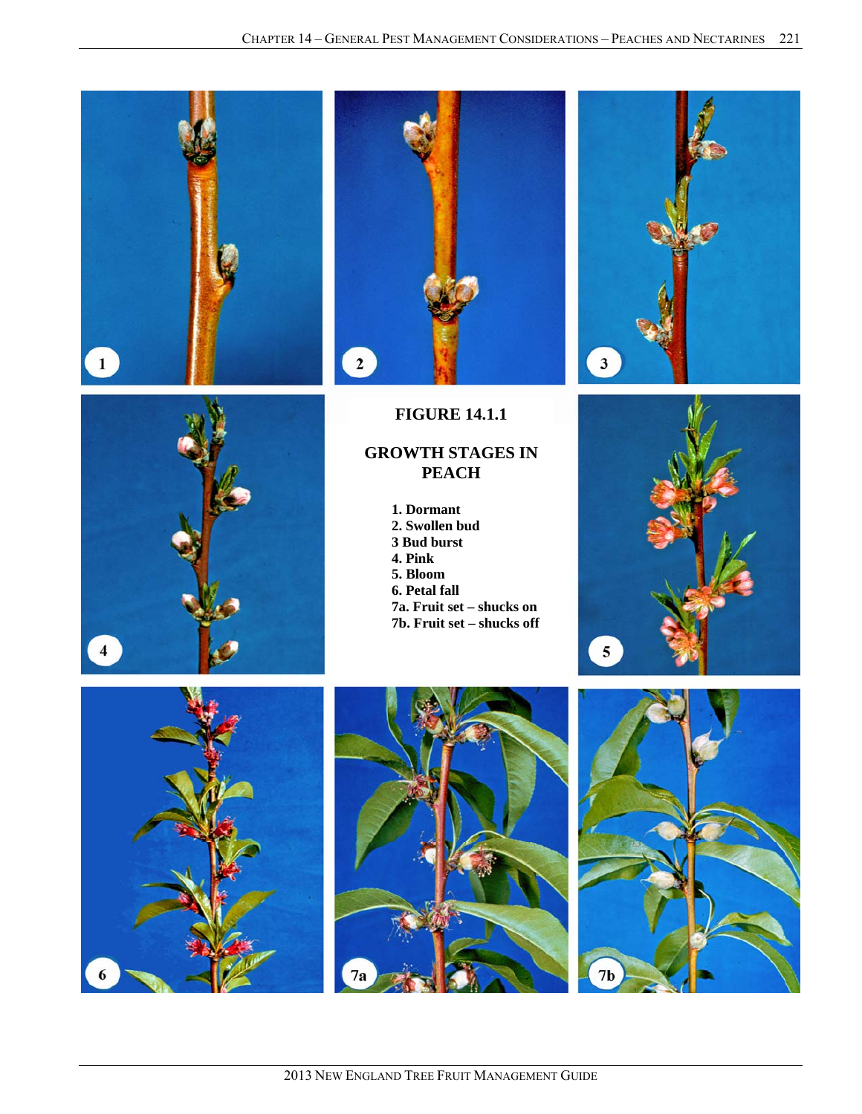







**FIGURE 14.1.1** 

# **GROWTH STAGES IN PEACH**

**1. Dormant 2. Swollen bud 3 Bud burst 4. Pink 5. Bloom 6. Petal fall 7a. Fruit set – shucks on 7b. Fruit set – shucks off** 







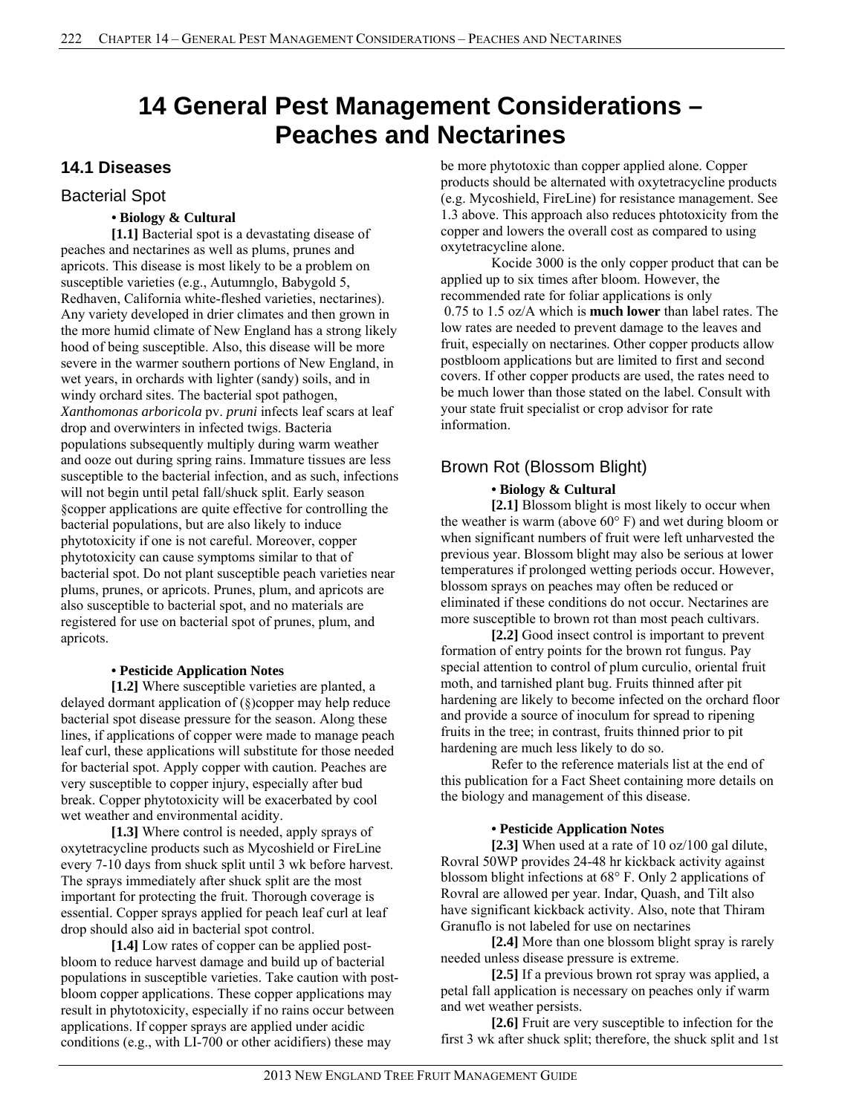# **14 General Pest Management Considerations – Peaches and Nectarines**

# **14.1 Diseases**

# Bacterial Spot

### **• Biology & Cultural**

**[1.1]** Bacterial spot is a devastating disease of peaches and nectarines as well as plums, prunes and apricots. This disease is most likely to be a problem on susceptible varieties (e.g., Autumnglo, Babygold 5, Redhaven, California white-fleshed varieties, nectarines). Any variety developed in drier climates and then grown in the more humid climate of New England has a strong likely hood of being susceptible. Also, this disease will be more severe in the warmer southern portions of New England, in wet years, in orchards with lighter (sandy) soils, and in windy orchard sites. The bacterial spot pathogen, *Xanthomonas arboricola* pv. *pruni* infects leaf scars at leaf drop and overwinters in infected twigs. Bacteria populations subsequently multiply during warm weather and ooze out during spring rains. Immature tissues are less susceptible to the bacterial infection, and as such, infections will not begin until petal fall/shuck split. Early season §copper applications are quite effective for controlling the bacterial populations, but are also likely to induce phytotoxicity if one is not careful. Moreover, copper phytotoxicity can cause symptoms similar to that of bacterial spot. Do not plant susceptible peach varieties near plums, prunes, or apricots. Prunes, plum, and apricots are also susceptible to bacterial spot, and no materials are registered for use on bacterial spot of prunes, plum, and apricots.

# **• Pesticide Application Notes**

**[1.2]** Where susceptible varieties are planted, a delayed dormant application of (§)copper may help reduce bacterial spot disease pressure for the season. Along these lines, if applications of copper were made to manage peach leaf curl, these applications will substitute for those needed for bacterial spot. Apply copper with caution. Peaches are very susceptible to copper injury, especially after bud break. Copper phytotoxicity will be exacerbated by cool wet weather and environmental acidity.

**[1.3]** Where control is needed, apply sprays of oxytetracycline products such as Mycoshield or FireLine every 7-10 days from shuck split until 3 wk before harvest. The sprays immediately after shuck split are the most important for protecting the fruit. Thorough coverage is essential. Copper sprays applied for peach leaf curl at leaf drop should also aid in bacterial spot control.

**[1.4]** Low rates of copper can be applied postbloom to reduce harvest damage and build up of bacterial populations in susceptible varieties. Take caution with postbloom copper applications. These copper applications may result in phytotoxicity, especially if no rains occur between applications. If copper sprays are applied under acidic conditions (e.g., with LI-700 or other acidifiers) these may

be more phytotoxic than copper applied alone. Copper products should be alternated with oxytetracycline products (e.g. Mycoshield, FireLine) for resistance management. See 1.3 above. This approach also reduces phtotoxicity from the copper and lowers the overall cost as compared to using oxytetracycline alone.

Kocide 3000 is the only copper product that can be applied up to six times after bloom. However, the recommended rate for foliar applications is only 0.75 to 1.5 oz/A which is **much lower** than label rates. The low rates are needed to prevent damage to the leaves and fruit, especially on nectarines. Other copper products allow postbloom applications but are limited to first and second covers. If other copper products are used, the rates need to be much lower than those stated on the label. Consult with your state fruit specialist or crop advisor for rate information.

# Brown Rot (Blossom Blight)

# **• Biology & Cultural**

**[2.1]** Blossom blight is most likely to occur when the weather is warm (above 60° F) and wet during bloom or when significant numbers of fruit were left unharvested the previous year. Blossom blight may also be serious at lower temperatures if prolonged wetting periods occur. However, blossom sprays on peaches may often be reduced or eliminated if these conditions do not occur. Nectarines are more susceptible to brown rot than most peach cultivars.

**[2.2]** Good insect control is important to prevent formation of entry points for the brown rot fungus. Pay special attention to control of plum curculio, oriental fruit moth, and tarnished plant bug. Fruits thinned after pit hardening are likely to become infected on the orchard floor and provide a source of inoculum for spread to ripening fruits in the tree; in contrast, fruits thinned prior to pit hardening are much less likely to do so.

Refer to the reference materials list at the end of this publication for a Fact Sheet containing more details on the biology and management of this disease.

#### **• Pesticide Application Notes**

**[2.3]** When used at a rate of 10 oz/100 gal dilute, Rovral 50WP provides 24-48 hr kickback activity against blossom blight infections at 68° F. Only 2 applications of Rovral are allowed per year. Indar, Quash, and Tilt also have significant kickback activity. Also, note that Thiram Granuflo is not labeled for use on nectarines

**[2.4]** More than one blossom blight spray is rarely needed unless disease pressure is extreme.

**[2.5]** If a previous brown rot spray was applied, a petal fall application is necessary on peaches only if warm and wet weather persists.

**[2.6]** Fruit are very susceptible to infection for the first 3 wk after shuck split; therefore, the shuck split and 1st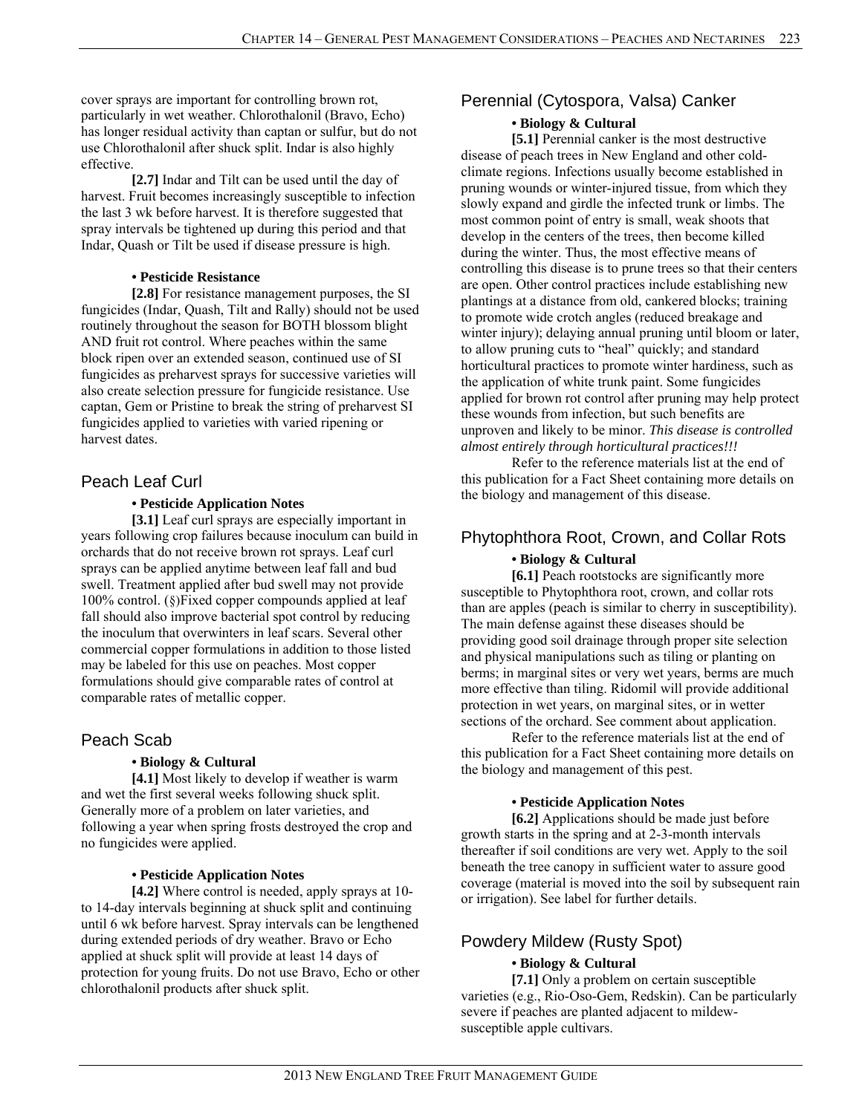cover sprays are important for controlling brown rot, particularly in wet weather. Chlorothalonil (Bravo, Echo) has longer residual activity than captan or sulfur, but do not use Chlorothalonil after shuck split. Indar is also highly effective.

**[2.7]** Indar and Tilt can be used until the day of harvest. Fruit becomes increasingly susceptible to infection the last 3 wk before harvest. It is therefore suggested that spray intervals be tightened up during this period and that Indar, Quash or Tilt be used if disease pressure is high.

#### **• Pesticide Resistance**

**[2.8]** For resistance management purposes, the SI fungicides (Indar, Quash, Tilt and Rally) should not be used routinely throughout the season for BOTH blossom blight AND fruit rot control. Where peaches within the same block ripen over an extended season, continued use of SI fungicides as preharvest sprays for successive varieties will also create selection pressure for fungicide resistance. Use captan, Gem or Pristine to break the string of preharvest SI fungicides applied to varieties with varied ripening or harvest dates.

# Peach Leaf Curl

#### **• Pesticide Application Notes**

**[3.1]** Leaf curl sprays are especially important in years following crop failures because inoculum can build in orchards that do not receive brown rot sprays. Leaf curl sprays can be applied anytime between leaf fall and bud swell. Treatment applied after bud swell may not provide 100% control. (§)Fixed copper compounds applied at leaf fall should also improve bacterial spot control by reducing the inoculum that overwinters in leaf scars. Several other commercial copper formulations in addition to those listed may be labeled for this use on peaches. Most copper formulations should give comparable rates of control at comparable rates of metallic copper.

# Peach Scab

#### **• Biology & Cultural**

**[4.1]** Most likely to develop if weather is warm and wet the first several weeks following shuck split. Generally more of a problem on later varieties, and following a year when spring frosts destroyed the crop and no fungicides were applied.

#### **• Pesticide Application Notes**

**[4.2]** Where control is needed, apply sprays at 10 to 14-day intervals beginning at shuck split and continuing until 6 wk before harvest. Spray intervals can be lengthened during extended periods of dry weather. Bravo or Echo applied at shuck split will provide at least 14 days of protection for young fruits. Do not use Bravo, Echo or other chlorothalonil products after shuck split.

# Perennial (Cytospora, Valsa) Canker

# **• Biology & Cultural**

[5.1] Perennial canker is the most destructive disease of peach trees in New England and other coldclimate regions. Infections usually become established in pruning wounds or winter-injured tissue, from which they slowly expand and girdle the infected trunk or limbs. The most common point of entry is small, weak shoots that develop in the centers of the trees, then become killed during the winter. Thus, the most effective means of controlling this disease is to prune trees so that their centers are open. Other control practices include establishing new plantings at a distance from old, cankered blocks; training to promote wide crotch angles (reduced breakage and winter injury); delaying annual pruning until bloom or later, to allow pruning cuts to "heal" quickly; and standard horticultural practices to promote winter hardiness, such as the application of white trunk paint. Some fungicides applied for brown rot control after pruning may help protect these wounds from infection, but such benefits are unproven and likely to be minor. *This disease is controlled almost entirely through horticultural practices!!!*

Refer to the reference materials list at the end of this publication for a Fact Sheet containing more details on the biology and management of this disease.

# Phytophthora Root, Crown, and Collar Rots **• Biology & Cultural**

**[6.1]** Peach rootstocks are significantly more susceptible to Phytophthora root, crown, and collar rots than are apples (peach is similar to cherry in susceptibility). The main defense against these diseases should be providing good soil drainage through proper site selection and physical manipulations such as tiling or planting on berms; in marginal sites or very wet years, berms are much more effective than tiling. Ridomil will provide additional protection in wet years, on marginal sites, or in wetter sections of the orchard. See comment about application.

Refer to the reference materials list at the end of this publication for a Fact Sheet containing more details on the biology and management of this pest.

#### **• Pesticide Application Notes**

**[6.2]** Applications should be made just before growth starts in the spring and at 2-3-month intervals thereafter if soil conditions are very wet. Apply to the soil beneath the tree canopy in sufficient water to assure good coverage (material is moved into the soil by subsequent rain or irrigation). See label for further details.

# Powdery Mildew (Rusty Spot)

# **• Biology & Cultural**

**[7.1]** Only a problem on certain susceptible varieties (e.g., Rio-Oso-Gem, Redskin). Can be particularly severe if peaches are planted adjacent to mildewsusceptible apple cultivars.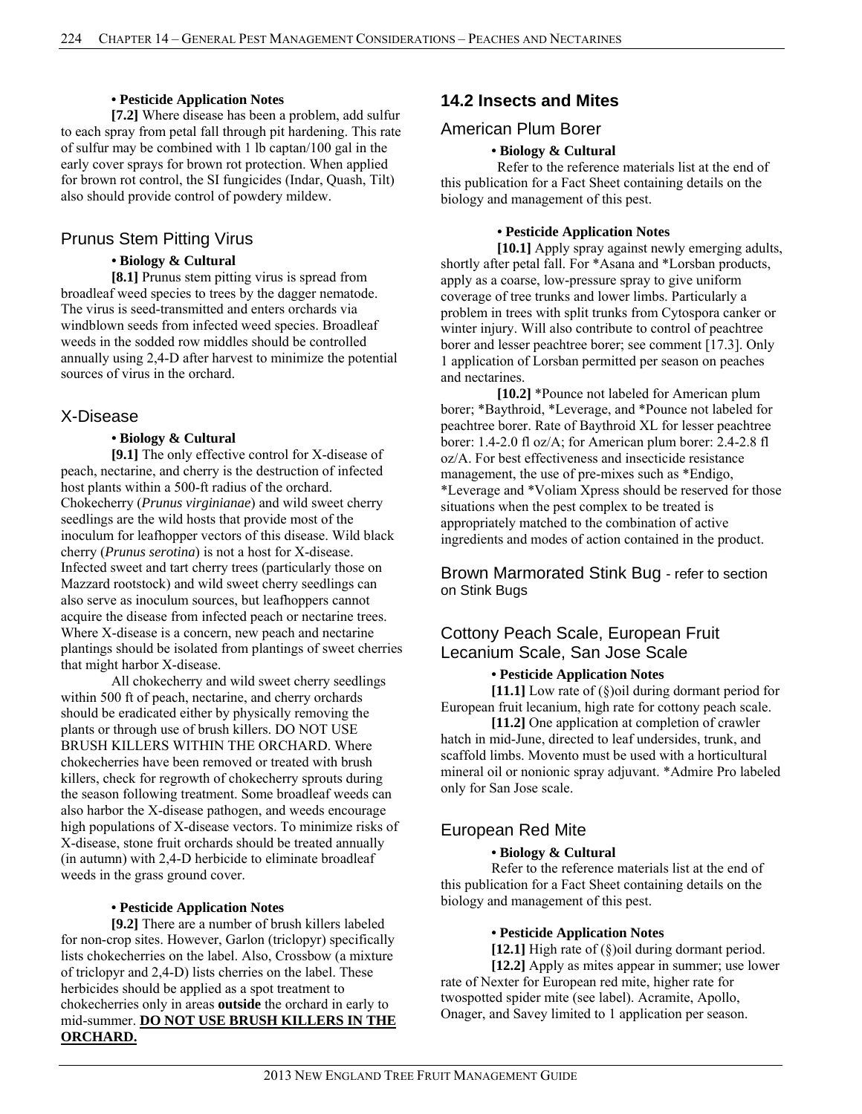#### **• Pesticide Application Notes**

**[7.2]** Where disease has been a problem, add sulfur to each spray from petal fall through pit hardening. This rate of sulfur may be combined with 1 lb captan/100 gal in the early cover sprays for brown rot protection. When applied for brown rot control, the SI fungicides (Indar, Quash, Tilt) also should provide control of powdery mildew.

# Prunus Stem Pitting Virus

#### **• Biology & Cultural**

**[8.1]** Prunus stem pitting virus is spread from broadleaf weed species to trees by the dagger nematode. The virus is seed-transmitted and enters orchards via windblown seeds from infected weed species. Broadleaf weeds in the sodded row middles should be controlled annually using 2,4-D after harvest to minimize the potential sources of virus in the orchard.

# X-Disease

# **• Biology & Cultural**

**[9.1]** The only effective control for X-disease of peach, nectarine, and cherry is the destruction of infected host plants within a 500-ft radius of the orchard. Chokecherry (*Prunus virginianae*) and wild sweet cherry seedlings are the wild hosts that provide most of the inoculum for leafhopper vectors of this disease. Wild black cherry (*Prunus serotina*) is not a host for X-disease. Infected sweet and tart cherry trees (particularly those on Mazzard rootstock) and wild sweet cherry seedlings can also serve as inoculum sources, but leafhoppers cannot acquire the disease from infected peach or nectarine trees. Where X-disease is a concern, new peach and nectarine plantings should be isolated from plantings of sweet cherries that might harbor X-disease.

All chokecherry and wild sweet cherry seedlings within 500 ft of peach, nectarine, and cherry orchards should be eradicated either by physically removing the plants or through use of brush killers. DO NOT USE BRUSH KILLERS WITHIN THE ORCHARD. Where chokecherries have been removed or treated with brush killers, check for regrowth of chokecherry sprouts during the season following treatment. Some broadleaf weeds can also harbor the X-disease pathogen, and weeds encourage high populations of X-disease vectors. To minimize risks of X-disease, stone fruit orchards should be treated annually (in autumn) with 2,4-D herbicide to eliminate broadleaf weeds in the grass ground cover.

#### **• Pesticide Application Notes**

**[9.2]** There are a number of brush killers labeled for non-crop sites. However, Garlon (triclopyr) specifically lists chokecherries on the label. Also, Crossbow (a mixture of triclopyr and 2,4-D) lists cherries on the label. These herbicides should be applied as a spot treatment to chokecherries only in areas **outside** the orchard in early to mid-summer. **DO NOT USE BRUSH KILLERS IN THE ORCHARD.** 

# **14.2 Insects and Mites**

# American Plum Borer

# **• Biology & Cultural**

Refer to the reference materials list at the end of this publication for a Fact Sheet containing details on the biology and management of this pest.

#### **• Pesticide Application Notes**

**[10.1]** Apply spray against newly emerging adults, shortly after petal fall. For \*Asana and \*Lorsban products, apply as a coarse, low-pressure spray to give uniform coverage of tree trunks and lower limbs. Particularly a problem in trees with split trunks from Cytospora canker or winter injury. Will also contribute to control of peachtree borer and lesser peachtree borer; see comment [17.3]. Only 1 application of Lorsban permitted per season on peaches and nectarines.

**[10.2]** \*Pounce not labeled for American plum borer; \*Baythroid, \*Leverage, and \*Pounce not labeled for peachtree borer. Rate of Baythroid XL for lesser peachtree borer: 1.4-2.0 fl oz/A; for American plum borer: 2.4-2.8 fl oz/A. For best effectiveness and insecticide resistance management, the use of pre-mixes such as \*Endigo, \*Leverage and \*Voliam Xpress should be reserved for those situations when the pest complex to be treated is appropriately matched to the combination of active ingredients and modes of action contained in the product.

Brown Marmorated Stink Bug - refer to section on Stink Bugs

# Cottony Peach Scale, European Fruit Lecanium Scale, San Jose Scale

#### **• Pesticide Application Notes**

**[11.1]** Low rate of (§)oil during dormant period for European fruit lecanium, high rate for cottony peach scale.

**[11.2]** One application at completion of crawler hatch in mid-June, directed to leaf undersides, trunk, and scaffold limbs. Movento must be used with a horticultural mineral oil or nonionic spray adjuvant. \*Admire Pro labeled only for San Jose scale.

# European Red Mite

# **• Biology & Cultural**

Refer to the reference materials list at the end of this publication for a Fact Sheet containing details on the biology and management of this pest.

#### **• Pesticide Application Notes**

**[12.1]** High rate of (§)oil during dormant period. **[12.2]** Apply as mites appear in summer; use lower rate of Nexter for European red mite, higher rate for twospotted spider mite (see label). Acramite, Apollo, Onager, and Savey limited to 1 application per season.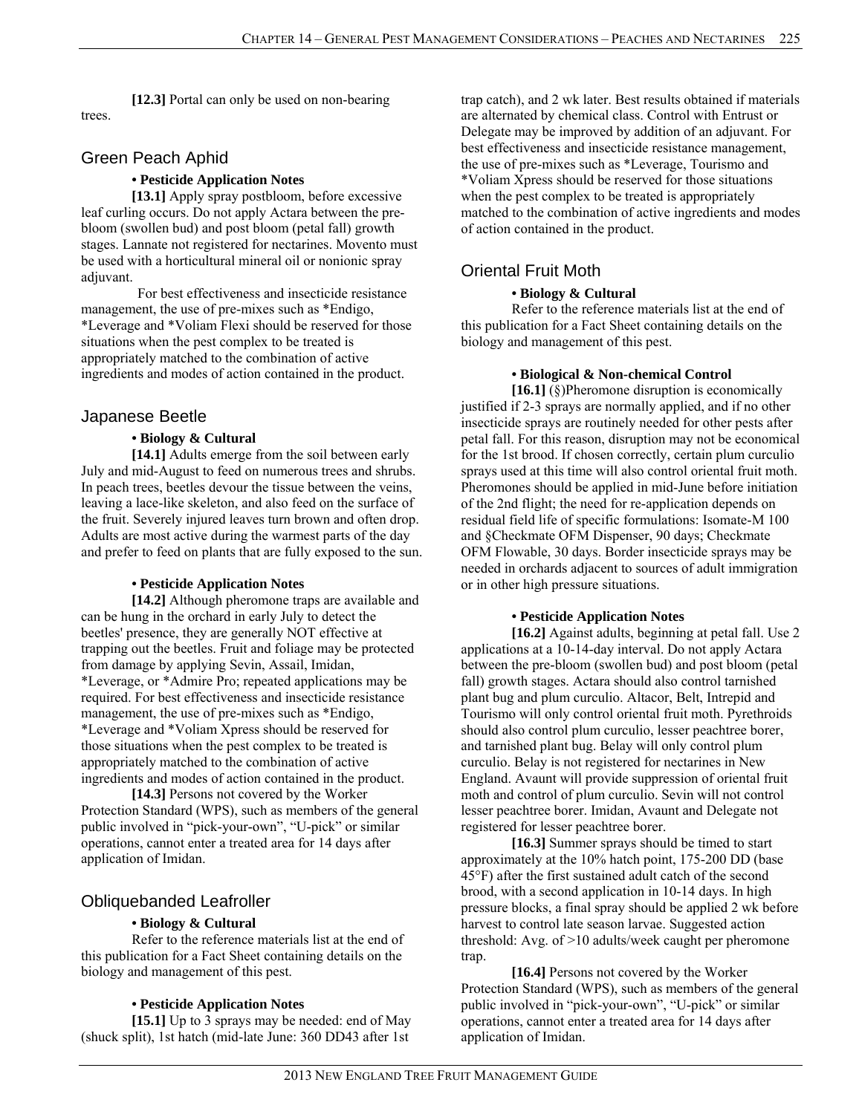**[12.3]** Portal can only be used on non-bearing trees.

# Green Peach Aphid

#### **• Pesticide Application Notes**

**[13.1]** Apply spray postbloom, before excessive leaf curling occurs. Do not apply Actara between the prebloom (swollen bud) and post bloom (petal fall) growth stages. Lannate not registered for nectarines. Movento must be used with a horticultural mineral oil or nonionic spray adjuvant.

For best effectiveness and insecticide resistance management, the use of pre-mixes such as \*Endigo, \*Leverage and \*Voliam Flexi should be reserved for those situations when the pest complex to be treated is appropriately matched to the combination of active ingredients and modes of action contained in the product.

# Japanese Beetle

# **• Biology & Cultural**

**[14.1]** Adults emerge from the soil between early July and mid-August to feed on numerous trees and shrubs. In peach trees, beetles devour the tissue between the veins, leaving a lace-like skeleton, and also feed on the surface of the fruit. Severely injured leaves turn brown and often drop. Adults are most active during the warmest parts of the day and prefer to feed on plants that are fully exposed to the sun.

# **• Pesticide Application Notes**

**[14.2]** Although pheromone traps are available and can be hung in the orchard in early July to detect the beetles' presence, they are generally NOT effective at trapping out the beetles. Fruit and foliage may be protected from damage by applying Sevin, Assail, Imidan, \*Leverage, or \*Admire Pro; repeated applications may be required. For best effectiveness and insecticide resistance management, the use of pre-mixes such as \*Endigo, \*Leverage and \*Voliam Xpress should be reserved for those situations when the pest complex to be treated is appropriately matched to the combination of active ingredients and modes of action contained in the product.

**[14.3]** Persons not covered by the Worker Protection Standard (WPS), such as members of the general public involved in "pick-your-own", "U-pick" or similar operations, cannot enter a treated area for 14 days after application of Imidan.

# Obliquebanded Leafroller

# **• Biology & Cultural**

Refer to the reference materials list at the end of this publication for a Fact Sheet containing details on the biology and management of this pest.

# **• Pesticide Application Notes**

**[15.1]** Up to 3 sprays may be needed: end of May (shuck split), 1st hatch (mid-late June: 360 DD43 after 1st

trap catch), and 2 wk later. Best results obtained if materials are alternated by chemical class. Control with Entrust or Delegate may be improved by addition of an adjuvant. For best effectiveness and insecticide resistance management, the use of pre-mixes such as \*Leverage, Tourismo and \*Voliam Xpress should be reserved for those situations when the pest complex to be treated is appropriately matched to the combination of active ingredients and modes of action contained in the product.

# Oriental Fruit Moth

#### **• Biology & Cultural**

Refer to the reference materials list at the end of this publication for a Fact Sheet containing details on the biology and management of this pest.

#### **• Biological & Non-chemical Control**

**[16.1]** (§)Pheromone disruption is economically justified if 2-3 sprays are normally applied, and if no other insecticide sprays are routinely needed for other pests after petal fall. For this reason, disruption may not be economical for the 1st brood. If chosen correctly, certain plum curculio sprays used at this time will also control oriental fruit moth. Pheromones should be applied in mid-June before initiation of the 2nd flight; the need for re-application depends on residual field life of specific formulations: Isomate-M 100 and §Checkmate OFM Dispenser, 90 days; Checkmate OFM Flowable, 30 days. Border insecticide sprays may be needed in orchards adjacent to sources of adult immigration or in other high pressure situations.

#### **• Pesticide Application Notes**

**[16.2]** Against adults, beginning at petal fall. Use 2 applications at a 10-14-day interval. Do not apply Actara between the pre-bloom (swollen bud) and post bloom (petal fall) growth stages. Actara should also control tarnished plant bug and plum curculio. Altacor, Belt, Intrepid and Tourismo will only control oriental fruit moth. Pyrethroids should also control plum curculio, lesser peachtree borer, and tarnished plant bug. Belay will only control plum curculio. Belay is not registered for nectarines in New England. Avaunt will provide suppression of oriental fruit moth and control of plum curculio. Sevin will not control lesser peachtree borer. Imidan, Avaunt and Delegate not registered for lesser peachtree borer.

**[16.3]** Summer sprays should be timed to start approximately at the 10% hatch point, 175-200 DD (base 45°F) after the first sustained adult catch of the second brood, with a second application in 10-14 days. In high pressure blocks, a final spray should be applied 2 wk before harvest to control late season larvae. Suggested action threshold: Avg. of >10 adults/week caught per pheromone trap.

**[16.4]** Persons not covered by the Worker Protection Standard (WPS), such as members of the general public involved in "pick-your-own", "U-pick" or similar operations, cannot enter a treated area for 14 days after application of Imidan.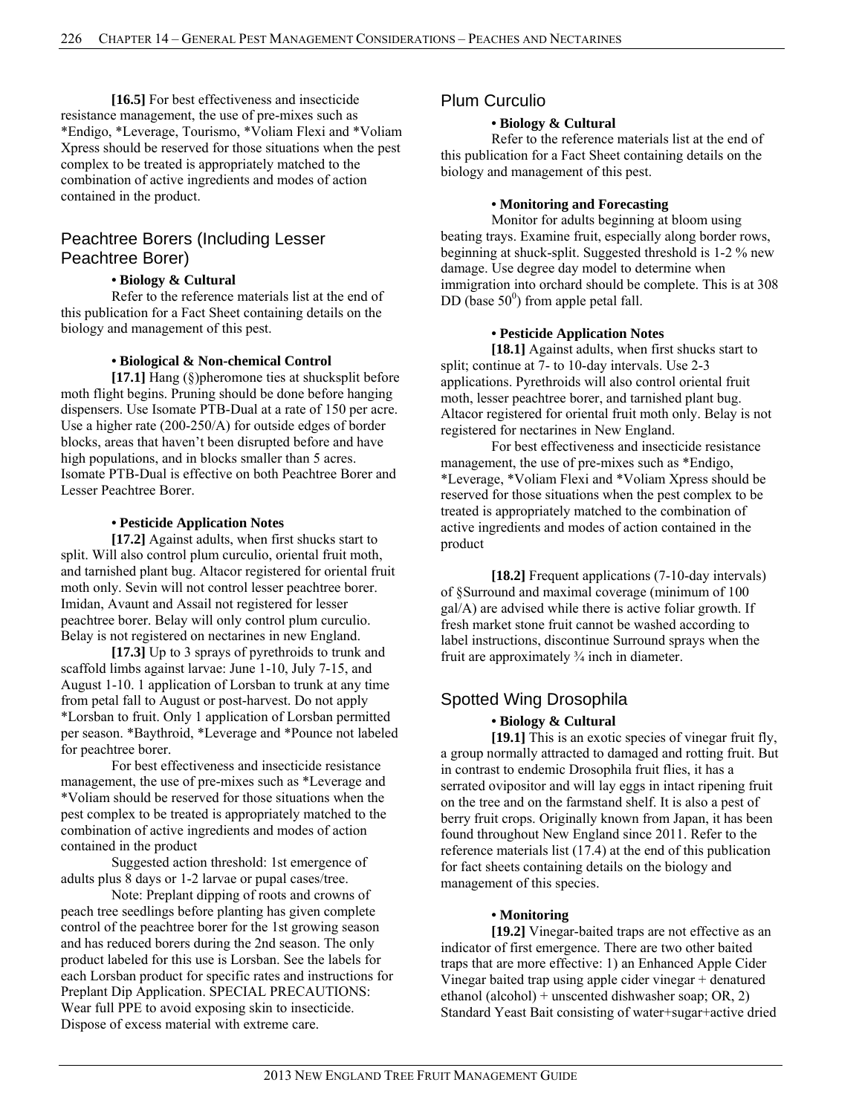**[16.5]** For best effectiveness and insecticide resistance management, the use of pre-mixes such as \*Endigo, \*Leverage, Tourismo, \*Voliam Flexi and \*Voliam Xpress should be reserved for those situations when the pest complex to be treated is appropriately matched to the combination of active ingredients and modes of action contained in the product.

# Peachtree Borers (Including Lesser Peachtree Borer)

#### **• Biology & Cultural**

Refer to the reference materials list at the end of this publication for a Fact Sheet containing details on the biology and management of this pest.

#### **• Biological & Non-chemical Control**

**[17.1]** Hang (§)pheromone ties at shucksplit before moth flight begins. Pruning should be done before hanging dispensers. Use Isomate PTB-Dual at a rate of 150 per acre. Use a higher rate (200-250/A) for outside edges of border blocks, areas that haven't been disrupted before and have high populations, and in blocks smaller than 5 acres. Isomate PTB-Dual is effective on both Peachtree Borer and Lesser Peachtree Borer.

#### **• Pesticide Application Notes**

**[17.2]** Against adults, when first shucks start to split. Will also control plum curculio, oriental fruit moth, and tarnished plant bug. Altacor registered for oriental fruit moth only. Sevin will not control lesser peachtree borer. Imidan, Avaunt and Assail not registered for lesser peachtree borer. Belay will only control plum curculio. Belay is not registered on nectarines in new England.

**[17.3]** Up to 3 sprays of pyrethroids to trunk and scaffold limbs against larvae: June 1-10, July 7-15, and August 1-10. 1 application of Lorsban to trunk at any time from petal fall to August or post-harvest. Do not apply \*Lorsban to fruit. Only 1 application of Lorsban permitted per season. \*Baythroid, \*Leverage and \*Pounce not labeled for peachtree borer.

For best effectiveness and insecticide resistance management, the use of pre-mixes such as \*Leverage and \*Voliam should be reserved for those situations when the pest complex to be treated is appropriately matched to the combination of active ingredients and modes of action contained in the product

Suggested action threshold: 1st emergence of adults plus 8 days or 1-2 larvae or pupal cases/tree.

Note: Preplant dipping of roots and crowns of peach tree seedlings before planting has given complete control of the peachtree borer for the 1st growing season and has reduced borers during the 2nd season. The only product labeled for this use is Lorsban. See the labels for each Lorsban product for specific rates and instructions for Preplant Dip Application. SPECIAL PRECAUTIONS: Wear full PPE to avoid exposing skin to insecticide. Dispose of excess material with extreme care.

# Plum Curculio

#### **• Biology & Cultural**

Refer to the reference materials list at the end of this publication for a Fact Sheet containing details on the biology and management of this pest.

#### **• Monitoring and Forecasting**

Monitor for adults beginning at bloom using beating trays. Examine fruit, especially along border rows, beginning at shuck-split. Suggested threshold is 1-2 % new damage. Use degree day model to determine when immigration into orchard should be complete. This is at 308 DD (base  $50^0$ ) from apple petal fall.

#### **• Pesticide Application Notes**

[18.1] Against adults, when first shucks start to split; continue at  $\overline{7}$ - to 10-day intervals. Use 2-3 applications. Pyrethroids will also control oriental fruit moth, lesser peachtree borer, and tarnished plant bug. Altacor registered for oriental fruit moth only. Belay is not registered for nectarines in New England.

For best effectiveness and insecticide resistance management, the use of pre-mixes such as \*Endigo, \*Leverage, \*Voliam Flexi and \*Voliam Xpress should be reserved for those situations when the pest complex to be treated is appropriately matched to the combination of active ingredients and modes of action contained in the product

**[18.2]** Frequent applications (7-10-day intervals) of §Surround and maximal coverage (minimum of 100 gal/A) are advised while there is active foliar growth. If fresh market stone fruit cannot be washed according to label instructions, discontinue Surround sprays when the fruit are approximately ¾ inch in diameter.

# Spotted Wing Drosophila

# **• Biology & Cultural**

**[19.1]** This is an exotic species of vinegar fruit fly, a group normally attracted to damaged and rotting fruit. But in contrast to endemic Drosophila fruit flies, it has a serrated ovipositor and will lay eggs in intact ripening fruit on the tree and on the farmstand shelf. It is also a pest of berry fruit crops. Originally known from Japan, it has been found throughout New England since 2011. Refer to the reference materials list (17.4) at the end of this publication for fact sheets containing details on the biology and management of this species.

# **• Monitoring**

**[19.2]** Vinegar-baited traps are not effective as an indicator of first emergence. There are two other baited traps that are more effective: 1) an Enhanced Apple Cider Vinegar baited trap using apple cider vinegar + denatured ethanol (alcohol) + unscented dishwasher soap; OR, 2) Standard Yeast Bait consisting of water+sugar+active dried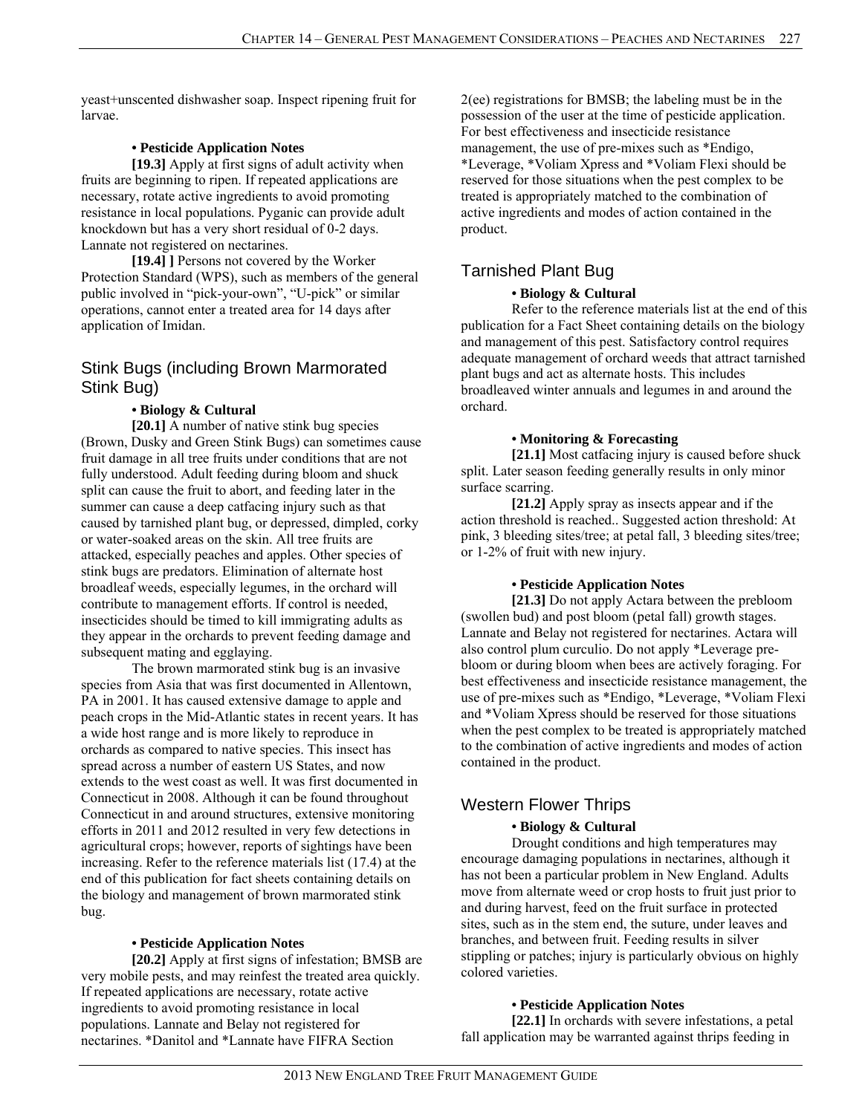yeast+unscented dishwasher soap. Inspect ripening fruit for larvae.

### **• Pesticide Application Notes**

**[19.3]** Apply at first signs of adult activity when fruits are beginning to ripen. If repeated applications are necessary, rotate active ingredients to avoid promoting resistance in local populations. Pyganic can provide adult knockdown but has a very short residual of 0-2 days. Lannate not registered on nectarines.

**[19.4] ]** Persons not covered by the Worker Protection Standard (WPS), such as members of the general public involved in "pick-your-own", "U-pick" or similar operations, cannot enter a treated area for 14 days after application of Imidan.

# Stink Bugs (including Brown Marmorated Stink Bug)

# **• Biology & Cultural**

**[20.1]** A number of native stink bug species (Brown, Dusky and Green Stink Bugs) can sometimes cause fruit damage in all tree fruits under conditions that are not fully understood. Adult feeding during bloom and shuck split can cause the fruit to abort, and feeding later in the summer can cause a deep catfacing injury such as that caused by tarnished plant bug, or depressed, dimpled, corky or water-soaked areas on the skin. All tree fruits are attacked, especially peaches and apples. Other species of stink bugs are predators. Elimination of alternate host broadleaf weeds, especially legumes, in the orchard will contribute to management efforts. If control is needed, insecticides should be timed to kill immigrating adults as they appear in the orchards to prevent feeding damage and subsequent mating and egglaying.

 The brown marmorated stink bug is an invasive species from Asia that was first documented in Allentown, PA in 2001. It has caused extensive damage to apple and peach crops in the Mid-Atlantic states in recent years. It has a wide host range and is more likely to reproduce in orchards as compared to native species. This insect has spread across a number of eastern US States, and now extends to the west coast as well. It was first documented in Connecticut in 2008. Although it can be found throughout Connecticut in and around structures, extensive monitoring efforts in 2011 and 2012 resulted in very few detections in agricultural crops; however, reports of sightings have been increasing. Refer to the reference materials list (17.4) at the end of this publication for fact sheets containing details on the biology and management of brown marmorated stink bug.

#### **• Pesticide Application Notes**

**[20.2]** Apply at first signs of infestation; BMSB are very mobile pests, and may reinfest the treated area quickly. If repeated applications are necessary, rotate active ingredients to avoid promoting resistance in local populations. Lannate and Belay not registered for nectarines. \*Danitol and \*Lannate have FIFRA Section

2(ee) registrations for BMSB; the labeling must be in the possession of the user at the time of pesticide application. For best effectiveness and insecticide resistance management, the use of pre-mixes such as \*Endigo, \*Leverage, \*Voliam Xpress and \*Voliam Flexi should be reserved for those situations when the pest complex to be treated is appropriately matched to the combination of active ingredients and modes of action contained in the product.

# Tarnished Plant Bug

#### **• Biology & Cultural**

Refer to the reference materials list at the end of this publication for a Fact Sheet containing details on the biology and management of this pest. Satisfactory control requires adequate management of orchard weeds that attract tarnished plant bugs and act as alternate hosts. This includes broadleaved winter annuals and legumes in and around the orchard.

#### **• Monitoring & Forecasting**

**[21.1]** Most catfacing injury is caused before shuck split. Later season feeding generally results in only minor surface scarring.

**[21.2]** Apply spray as insects appear and if the action threshold is reached.. Suggested action threshold: At pink, 3 bleeding sites/tree; at petal fall, 3 bleeding sites/tree; or 1-2% of fruit with new injury.

# **• Pesticide Application Notes**

**[21.3]** Do not apply Actara between the prebloom (swollen bud) and post bloom (petal fall) growth stages. Lannate and Belay not registered for nectarines. Actara will also control plum curculio. Do not apply \*Leverage prebloom or during bloom when bees are actively foraging. For best effectiveness and insecticide resistance management, the use of pre-mixes such as \*Endigo, \*Leverage, \*Voliam Flexi and \*Voliam Xpress should be reserved for those situations when the pest complex to be treated is appropriately matched to the combination of active ingredients and modes of action contained in the product.

# Western Flower Thrips

# **• Biology & Cultural**

Drought conditions and high temperatures may encourage damaging populations in nectarines, although it has not been a particular problem in New England. Adults move from alternate weed or crop hosts to fruit just prior to and during harvest, feed on the fruit surface in protected sites, such as in the stem end, the suture, under leaves and branches, and between fruit. Feeding results in silver stippling or patches; injury is particularly obvious on highly colored varieties.

# **• Pesticide Application Notes**

**[22.1]** In orchards with severe infestations, a petal fall application may be warranted against thrips feeding in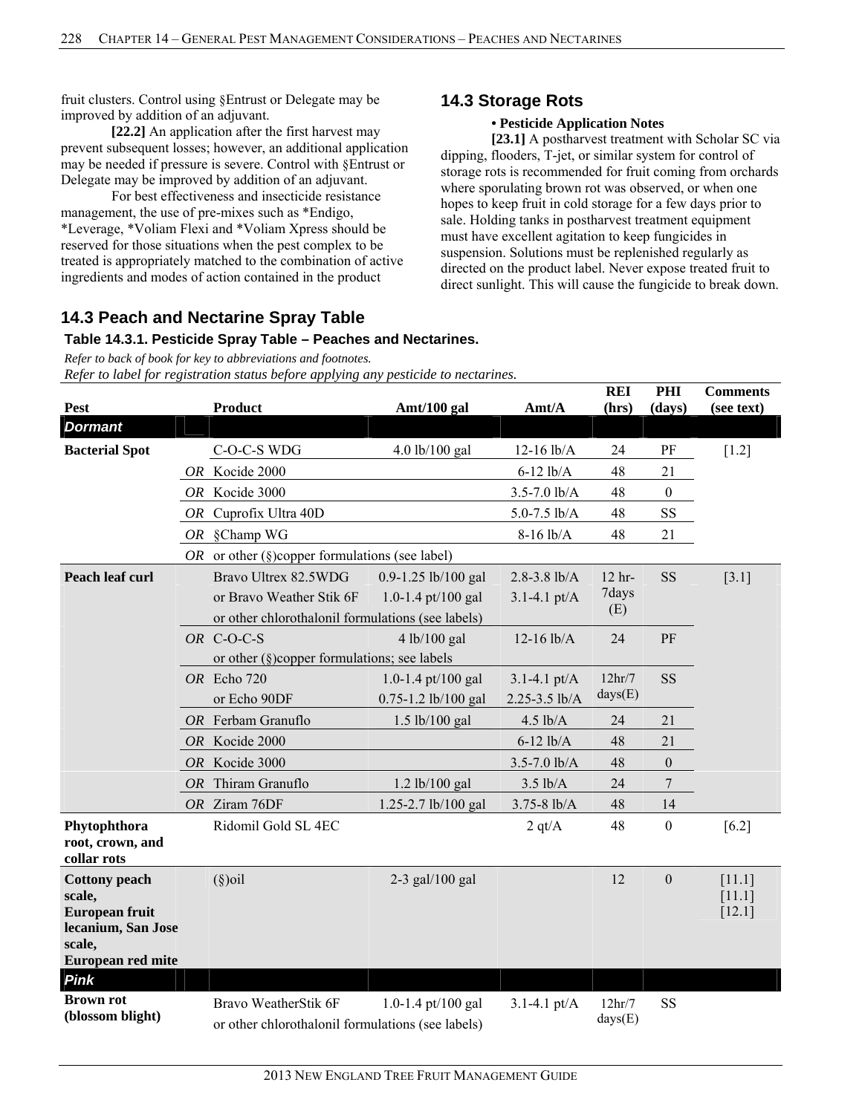fruit clusters. Control using §Entrust or Delegate may be improved by addition of an adjuvant.

**[22.2]** An application after the first harvest may prevent subsequent losses; however, an additional application may be needed if pressure is severe. Control with §Entrust or Delegate may be improved by addition of an adjuvant.

For best effectiveness and insecticide resistance management, the use of pre-mixes such as \*Endigo, \*Leverage, \*Voliam Flexi and \*Voliam Xpress should be reserved for those situations when the pest complex to be treated is appropriately matched to the combination of active ingredients and modes of action contained in the product

# **14.3 Peach and Nectarine Spray Table**

#### **Table 14.3.1. Pesticide Spray Table – Peaches and Nectarines.**

*Refer to back of book for key to abbreviations and footnotes. Refer to label for registration status before applying any pesticide to nectarines.*

|                                 |           |                                                     |                         |                          | <b>REI</b>                     | PHI              | <b>Comments</b>  |
|---------------------------------|-----------|-----------------------------------------------------|-------------------------|--------------------------|--------------------------------|------------------|------------------|
| <b>Pest</b>                     |           | <b>Product</b>                                      | Amt/100 gal             | Amt/A                    | (hrs)                          | (days)           | (see text)       |
| <b>Dormant</b>                  |           |                                                     |                         |                          |                                |                  |                  |
| <b>Bacterial Spot</b>           |           | C-O-C-S WDG                                         | 4.0 lb/100 gal          | $12-16$ lb/A             | 24                             | PF               | $[1.2]$          |
|                                 |           | OR Kocide 2000                                      |                         | $6-12$ lb/A              | 48                             | 21               |                  |
|                                 | <b>OR</b> | Kocide 3000                                         |                         | $3.5 - 7.0$ lb/A         | 48                             | $\boldsymbol{0}$ |                  |
|                                 |           | OR Cuprofix Ultra 40D                               |                         | $5.0 - 7.5$ lb/A         | 48                             | SS               |                  |
|                                 |           | OR §Champ WG                                        | 48                      | 21                       |                                |                  |                  |
|                                 |           | OR or other ( $\S$ )copper formulations (see label) |                         |                          |                                |                  |                  |
| Peach leaf curl                 |           | Bravo Ultrex 82.5WDG                                | $0.9 - 1.25$ lb/100 gal | $2.8 - 3.8$ lb/A         | $12$ hr-                       | <b>SS</b>        | $[3.1]$          |
|                                 |           | or Bravo Weather Stik 6F                            | 1.0-1.4 pt/100 gal      | $3.1 - 4.1 \text{ pt/A}$ | 7days                          |                  |                  |
|                                 |           | or other chlorothalonil formulations (see labels)   |                         |                          | (E)                            |                  |                  |
|                                 |           | OR C-O-C-S                                          | 4 lb/100 gal            | $12-16$ lb/A             | 24                             | PF               |                  |
|                                 |           | or other $(\S)$ copper formulations; see labels     |                         |                          |                                |                  |                  |
|                                 |           | OR Echo 720                                         | 1.0-1.4 pt/100 gal      | $3.1 - 4.1 \text{ pt/A}$ | 12hr/7                         | <b>SS</b>        |                  |
|                                 |           | or Echo 90DF                                        | 0.75-1.2 lb/100 gal     | 2.25-3.5 lb/A            | days(E)                        |                  |                  |
|                                 |           | OR Ferbam Granuflo                                  | 1.5 lb/100 gal          | $4.5$ lb/A               | 24                             | 21               |                  |
|                                 |           | OR Kocide 2000                                      |                         | $6-12$ lb/A              | 48                             | 21               |                  |
|                                 |           | OR Kocide 3000                                      |                         | $3.5 - 7.0$ lb/A         | 48                             | $\boldsymbol{0}$ |                  |
|                                 | <i>OR</i> | Thiram Granuflo                                     | $1.2$ lb/100 gal        | $3.5$ lb/A               | 24                             | 7                |                  |
|                                 |           | OR Ziram 76DF                                       | 1.25-2.7 lb/100 gal     | $3.75 - 8$ lb/A          | 48                             | 14               |                  |
| Phytophthora                    |           | Ridomil Gold SL 4EC                                 |                         | 2 q t/A                  | 48                             | $\boldsymbol{0}$ | $[6.2]$          |
| root, crown, and                |           |                                                     |                         |                          |                                |                  |                  |
| collar rots                     |           |                                                     |                         |                          |                                |                  |                  |
| <b>Cottony</b> peach<br>scale,  |           | $(\S)$ oil                                          | $2-3$ gal/100 gal       |                          | 12                             | $\boldsymbol{0}$ | [11.1]<br>[11.1] |
| <b>European fruit</b>           |           |                                                     |                         |                          |                                |                  | $[12.1]$         |
| lecanium, San Jose              |           |                                                     |                         |                          |                                |                  |                  |
| scale,                          |           |                                                     |                         |                          |                                |                  |                  |
| European red mite               |           |                                                     |                         |                          |                                |                  |                  |
| <b>Pink</b><br><b>Brown rot</b> |           |                                                     |                         |                          |                                |                  |                  |
| (blossom blight)                |           | Bravo WeatherStik 6F                                | 1.0-1.4 pt/100 gal      | $3.1 - 4.1$ pt/A         | 12 <sup>hr</sup> /7<br>days(E) | SS               |                  |
|                                 |           | or other chlorothalonil formulations (see labels)   |                         |                          |                                |                  |                  |

# **14.3 Storage Rots**

# **• Pesticide Application Notes**

**[23.1]** A postharvest treatment with Scholar SC via dipping, flooders, T-jet, or similar system for control of storage rots is recommended for fruit coming from orchards where sporulating brown rot was observed, or when one hopes to keep fruit in cold storage for a few days prior to sale. Holding tanks in postharvest treatment equipment must have excellent agitation to keep fungicides in suspension. Solutions must be replenished regularly as directed on the product label. Never expose treated fruit to direct sunlight. This will cause the fungicide to break down.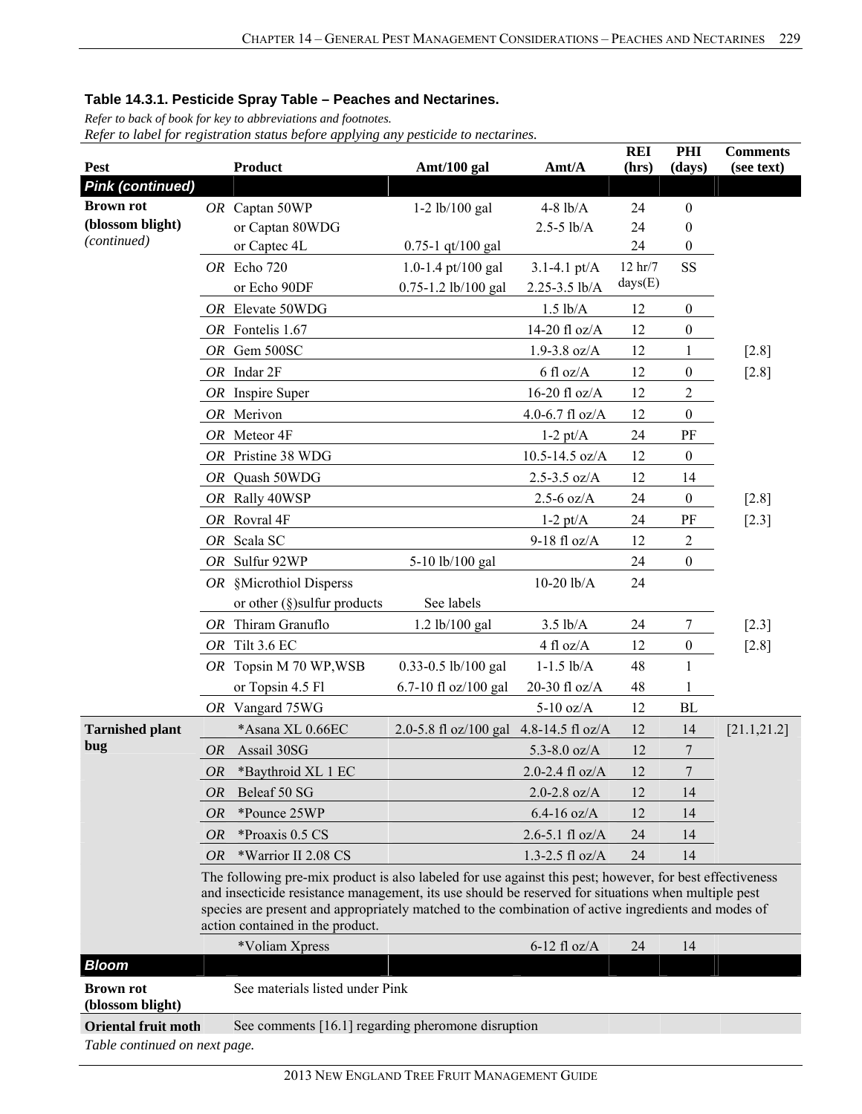*Refer to back of book for key to abbreviations and footnotes.* 

|                                                             |           |                                                                                                                                                                                                                                                                                                                                                            |                                        |                                | <b>REI</b>          | PHI              | <b>Comments</b> |  |  |  |
|-------------------------------------------------------------|-----------|------------------------------------------------------------------------------------------------------------------------------------------------------------------------------------------------------------------------------------------------------------------------------------------------------------------------------------------------------------|----------------------------------------|--------------------------------|---------------------|------------------|-----------------|--|--|--|
| Pest<br><b>Pink (continued)</b>                             |           | <b>Product</b>                                                                                                                                                                                                                                                                                                                                             | Amt/100 gal                            | Amt/A                          | (hrs)               | (days)           | (see text)      |  |  |  |
| <b>Brown rot</b>                                            |           |                                                                                                                                                                                                                                                                                                                                                            |                                        |                                |                     | $\boldsymbol{0}$ |                 |  |  |  |
| (blossom blight)                                            |           | OR Captan 50WP<br>or Captan 80WDG                                                                                                                                                                                                                                                                                                                          | $1-2$ lb/100 gal                       | $4-8$ $lb/A$<br>$2.5 - 5$ lb/A | 24<br>24            | $\boldsymbol{0}$ |                 |  |  |  |
| (continued)                                                 |           | or Captec 4L                                                                                                                                                                                                                                                                                                                                               | $0.75 - 1$ qt/100 gal                  |                                | 24                  | $\boldsymbol{0}$ |                 |  |  |  |
|                                                             |           | OR Echo 720                                                                                                                                                                                                                                                                                                                                                | 1.0-1.4 pt/100 gal                     | $3.1 - 4.1$ pt/A               | $12 \text{ hr} / 7$ | SS               |                 |  |  |  |
|                                                             |           | or Echo 90DF                                                                                                                                                                                                                                                                                                                                               | 0.75-1.2 lb/100 gal                    | 2.25-3.5 lb/A                  | days(E)             |                  |                 |  |  |  |
|                                                             |           | OR Elevate 50WDG                                                                                                                                                                                                                                                                                                                                           |                                        | $1.5$ lb/A                     | 12                  | $\boldsymbol{0}$ |                 |  |  |  |
|                                                             |           | OR Fontelis 1.67                                                                                                                                                                                                                                                                                                                                           |                                        | 14-20 fl oz/A                  | 12                  | $\boldsymbol{0}$ |                 |  |  |  |
|                                                             |           | OR Gem 500SC                                                                                                                                                                                                                                                                                                                                               |                                        | $1.9 - 3.8$ oz/A               | 12                  | 1                | $[2.8]$         |  |  |  |
|                                                             |           | OR Indar 2F                                                                                                                                                                                                                                                                                                                                                |                                        | $6 \text{ fl oz/A}$            | 12                  | $\boldsymbol{0}$ | $[2.8]$         |  |  |  |
|                                                             |           | OR Inspire Super                                                                                                                                                                                                                                                                                                                                           |                                        | 16-20 fl oz/A                  | 12                  | $\overline{2}$   |                 |  |  |  |
|                                                             |           | OR Merivon                                                                                                                                                                                                                                                                                                                                                 |                                        | 4.0-6.7 fl $oz/A$              | 12                  | $\boldsymbol{0}$ |                 |  |  |  |
|                                                             |           | OR Meteor 4F                                                                                                                                                                                                                                                                                                                                               |                                        | $1-2$ pt/A                     | 24                  | PF               |                 |  |  |  |
|                                                             |           | OR Pristine 38 WDG                                                                                                                                                                                                                                                                                                                                         |                                        | $10.5 - 14.5$ oz/A             | 12                  | $\boldsymbol{0}$ |                 |  |  |  |
|                                                             |           | OR Quash 50WDG                                                                                                                                                                                                                                                                                                                                             |                                        | $2.5 - 3.5$ oz/A               | 12                  | 14               |                 |  |  |  |
|                                                             |           | OR Rally 40WSP                                                                                                                                                                                                                                                                                                                                             |                                        | $2.5 - 6$ oz/A                 | 24                  | $\boldsymbol{0}$ | $[2.8]$         |  |  |  |
|                                                             |           | OR Rovral 4F                                                                                                                                                                                                                                                                                                                                               |                                        | $1-2$ pt/A                     | 24                  | PF               | $[2.3]$         |  |  |  |
|                                                             |           | OR Scala SC                                                                                                                                                                                                                                                                                                                                                |                                        | 9-18 fl oz/A                   | 12                  | $\sqrt{2}$       |                 |  |  |  |
|                                                             |           | OR Sulfur 92WP                                                                                                                                                                                                                                                                                                                                             | 5-10 lb/100 gal                        |                                | 24                  | $\boldsymbol{0}$ |                 |  |  |  |
|                                                             |           | OR §Microthiol Disperss                                                                                                                                                                                                                                                                                                                                    |                                        | $10-20$ $lb/A$                 | 24                  |                  |                 |  |  |  |
|                                                             |           | or other $(\S)$ sulfur products                                                                                                                                                                                                                                                                                                                            | See labels                             |                                |                     |                  |                 |  |  |  |
|                                                             |           | OR Thiram Granuflo                                                                                                                                                                                                                                                                                                                                         | 1.2 lb/100 gal                         | $3.5$ lb/A                     | 24                  | 7                | $[2.3]$         |  |  |  |
|                                                             |           | OR Tilt 3.6 EC                                                                                                                                                                                                                                                                                                                                             |                                        | $4 \text{ fl oz/A}$            | 12                  | $\boldsymbol{0}$ | $[2.8]$         |  |  |  |
|                                                             |           | OR Topsin M 70 WP, WSB                                                                                                                                                                                                                                                                                                                                     | 0.33-0.5 lb/100 gal                    | $1 - 1.5$ $lb/A$               | 48                  | $\mathbf{1}$     |                 |  |  |  |
|                                                             |           | or Topsin 4.5 Fl                                                                                                                                                                                                                                                                                                                                           | 6.7-10 fl oz/100 gal                   | 20-30 fl oz/A                  | 48                  | 1                |                 |  |  |  |
|                                                             |           | OR Vangard 75WG                                                                                                                                                                                                                                                                                                                                            |                                        | $5-10$ oz/A                    | 12                  | <b>BL</b>        |                 |  |  |  |
| <b>Tarnished plant</b>                                      |           | *Asana XL 0.66EC                                                                                                                                                                                                                                                                                                                                           | 2.0-5.8 fl oz/100 gal 4.8-14.5 fl oz/A |                                | 12                  | 14               | [21.1, 21.2]    |  |  |  |
| bug                                                         | <b>OR</b> | Assail 30SG                                                                                                                                                                                                                                                                                                                                                |                                        | 5.3-8.0 $oz/A$                 | 12                  | $\tau$           |                 |  |  |  |
|                                                             | <i>OR</i> | *Baythroid XL 1 EC                                                                                                                                                                                                                                                                                                                                         |                                        | 2.0-2.4 fl $oz/A$              | 12                  | 7                |                 |  |  |  |
|                                                             | OR        | Beleaf 50 SG                                                                                                                                                                                                                                                                                                                                               |                                        | $2.0 - 2.8$ oz/A               | 12                  | 14               |                 |  |  |  |
|                                                             | <i>OR</i> | *Pounce 25WP                                                                                                                                                                                                                                                                                                                                               |                                        | $6.4 - 16$ oz/A                | 12                  | 14               |                 |  |  |  |
|                                                             | <i>OR</i> | *Proaxis 0.5 CS                                                                                                                                                                                                                                                                                                                                            |                                        | $2.6 - 5.1$ fl oz/A            | 24                  | 14               |                 |  |  |  |
|                                                             | <i>OR</i> | *Warrior II 2.08 CS                                                                                                                                                                                                                                                                                                                                        |                                        | $1.3 - 2.5$ fl oz/A            | 24                  | 14               |                 |  |  |  |
|                                                             |           | The following pre-mix product is also labeled for use against this pest; however, for best effectiveness<br>and insecticide resistance management, its use should be reserved for situations when multiple pest<br>species are present and appropriately matched to the combination of active ingredients and modes of<br>action contained in the product. |                                        |                                |                     |                  |                 |  |  |  |
| <b>Bloom</b>                                                |           | *Voliam Xpress                                                                                                                                                                                                                                                                                                                                             |                                        | $6-12$ fl oz/A                 | 24                  | 14               |                 |  |  |  |
| <b>Brown rot</b><br>(blossom blight)                        |           | See materials listed under Pink                                                                                                                                                                                                                                                                                                                            |                                        |                                |                     |                  |                 |  |  |  |
| <b>Oriental fruit moth</b><br>Table continued on next page. |           | See comments [16.1] regarding pheromone disruption                                                                                                                                                                                                                                                                                                         |                                        |                                |                     |                  |                 |  |  |  |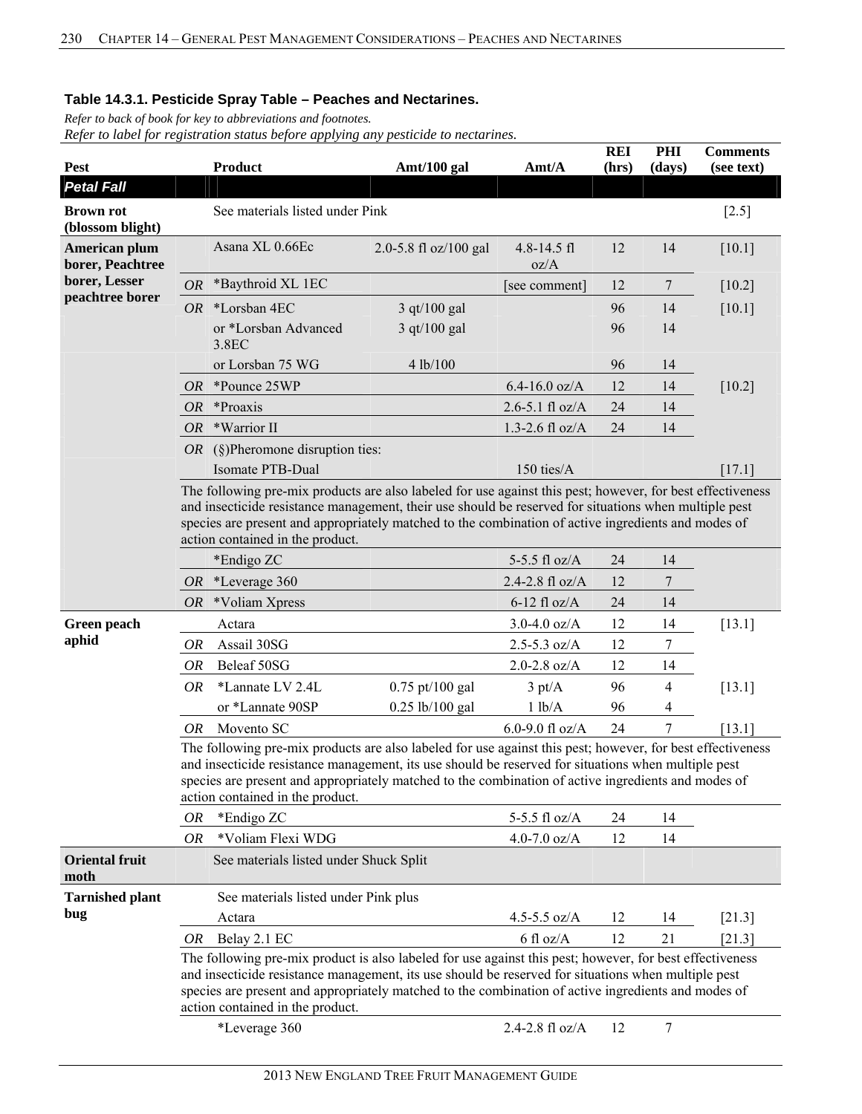*Refer to back of book for key to abbreviations and footnotes.* 

| Pest                                 |           | Product                                                                                                                                                                                                                                                                                                                                                        | Amt/100 gal           | Amt/A                   | <b>REI</b><br>(hrs) | PHI<br>(days)  | <b>Comments</b><br>(see text) |  |  |
|--------------------------------------|-----------|----------------------------------------------------------------------------------------------------------------------------------------------------------------------------------------------------------------------------------------------------------------------------------------------------------------------------------------------------------------|-----------------------|-------------------------|---------------------|----------------|-------------------------------|--|--|
| <b>Petal Fall</b>                    |           |                                                                                                                                                                                                                                                                                                                                                                |                       |                         |                     |                |                               |  |  |
| <b>Brown rot</b><br>(blossom blight) |           | See materials listed under Pink                                                                                                                                                                                                                                                                                                                                |                       |                         |                     |                | $[2.5]$                       |  |  |
| American plum<br>borer, Peachtree    |           | Asana XL 0.66Ec                                                                                                                                                                                                                                                                                                                                                | 2.0-5.8 fl oz/100 gal | $4.8 - 14.5$ fl<br>oz/A | 12                  | 14             | [10.1]                        |  |  |
| borer, Lesser                        | <b>OR</b> | *Baythroid XL 1EC                                                                                                                                                                                                                                                                                                                                              |                       | [see comment]           | 12                  | $\overline{7}$ | $[10.2]$                      |  |  |
| peachtree borer                      | OR        | *Lorsban 4EC                                                                                                                                                                                                                                                                                                                                                   | 3 qt/100 gal          |                         | 96                  | 14             | [10.1]                        |  |  |
|                                      |           | or *Lorsban Advanced<br>3.8EC                                                                                                                                                                                                                                                                                                                                  | $3$ qt/100 gal        |                         | 96                  | 14             |                               |  |  |
|                                      |           | or Lorsban 75 WG                                                                                                                                                                                                                                                                                                                                               | 4 lb/100              |                         | 96                  | 14             |                               |  |  |
|                                      |           | OR *Pounce 25WP                                                                                                                                                                                                                                                                                                                                                |                       | $6.4 - 16.0$ oz/A       | 12                  | 14             | $[10.2]$                      |  |  |
|                                      |           | $OR$ *Proaxis                                                                                                                                                                                                                                                                                                                                                  |                       | $2.6 - 5.1$ fl oz/A     | 24                  | 14             |                               |  |  |
|                                      | OR.       | *Warrior II                                                                                                                                                                                                                                                                                                                                                    |                       | 1.3-2.6 fl $oz/A$       | 24                  | 14             |                               |  |  |
|                                      |           | <i>OR</i> (§)Pheromone disruption ties:                                                                                                                                                                                                                                                                                                                        |                       |                         |                     |                |                               |  |  |
|                                      |           | Isomate PTB-Dual                                                                                                                                                                                                                                                                                                                                               |                       | 150 ties/A              |                     |                | $[17.1]$                      |  |  |
|                                      |           | The following pre-mix products are also labeled for use against this pest; however, for best effectiveness<br>and insecticide resistance management, their use should be reserved for situations when multiple pest<br>species are present and appropriately matched to the combination of active ingredients and modes of<br>action contained in the product. |                       |                         |                     |                |                               |  |  |
|                                      |           | *Endigo ZC                                                                                                                                                                                                                                                                                                                                                     |                       | 5-5.5 fl $oz/A$         | 24                  | 14             |                               |  |  |
|                                      | OR        | *Leverage 360                                                                                                                                                                                                                                                                                                                                                  |                       | 2.4-2.8 fl oz/A         | 12                  | 7              |                               |  |  |
|                                      | OR.       | *Voliam Xpress                                                                                                                                                                                                                                                                                                                                                 |                       | $6-12$ fl oz/A          | 24                  | 14             |                               |  |  |
| Green peach                          |           | Actara                                                                                                                                                                                                                                                                                                                                                         |                       | $3.0 - 4.0$ oz/A        | 12                  | 14             | [13.1]                        |  |  |
| aphid                                | OR        | Assail 30SG                                                                                                                                                                                                                                                                                                                                                    |                       | $2.5 - 5.3$ oz/A        | 12                  | 7              |                               |  |  |
|                                      | OR        | Beleaf 50SG                                                                                                                                                                                                                                                                                                                                                    |                       | $2.0 - 2.8$ oz/A        | 12                  | 14             |                               |  |  |
|                                      | <i>OR</i> | *Lannate LV 2.4L                                                                                                                                                                                                                                                                                                                                               | $0.75$ pt/100 gal     | $3 \text{ pt/A}$        | 96                  | 4              | [13.1]                        |  |  |
|                                      |           | or *Lannate 90SP                                                                                                                                                                                                                                                                                                                                               | $0.25$ lb/100 gal     | 1 lb/A                  | 96                  | 4              |                               |  |  |
|                                      | OR.       | Movento SC                                                                                                                                                                                                                                                                                                                                                     |                       | 6.0-9.0 fl oz/A         | 24                  | 7              | [13.1]                        |  |  |
|                                      |           | The following pre-mix products are also labeled for use against this pest; however, for best effectiveness<br>and insecticide resistance management, its use should be reserved for situations when multiple pest<br>species are present and appropriately matched to the combination of active ingredients and modes of<br>action contained in the product.   |                       |                         |                     |                |                               |  |  |
|                                      | OR        | *Endigo ZC                                                                                                                                                                                                                                                                                                                                                     |                       | 5-5.5 fl $oz/A$         | 24                  | 14             |                               |  |  |
|                                      | <b>OR</b> | *Voliam Flexi WDG                                                                                                                                                                                                                                                                                                                                              |                       | 4.0-7.0 $oz/A$          | 12                  | 14             |                               |  |  |
| <b>Oriental fruit</b><br>moth        |           | See materials listed under Shuck Split                                                                                                                                                                                                                                                                                                                         |                       |                         |                     |                |                               |  |  |
| <b>Tarnished plant</b>               |           | See materials listed under Pink plus                                                                                                                                                                                                                                                                                                                           |                       |                         |                     |                |                               |  |  |
| bug                                  |           | Actara                                                                                                                                                                                                                                                                                                                                                         |                       | 4.5-5.5 $oz/A$          | 12                  | 14             | $[21.3]$                      |  |  |
|                                      | OR        | Belay 2.1 EC                                                                                                                                                                                                                                                                                                                                                   |                       | $6 \text{ fl oz/A}$     | 12                  | 21             | [21.3]                        |  |  |
|                                      |           | The following pre-mix product is also labeled for use against this pest; however, for best effectiveness<br>and insecticide resistance management, its use should be reserved for situations when multiple pest<br>species are present and appropriately matched to the combination of active ingredients and modes of<br>action contained in the product.     |                       |                         |                     |                |                               |  |  |
|                                      |           | *Leverage 360                                                                                                                                                                                                                                                                                                                                                  |                       | 2.4-2.8 fl oz/A         | 12                  | 7              |                               |  |  |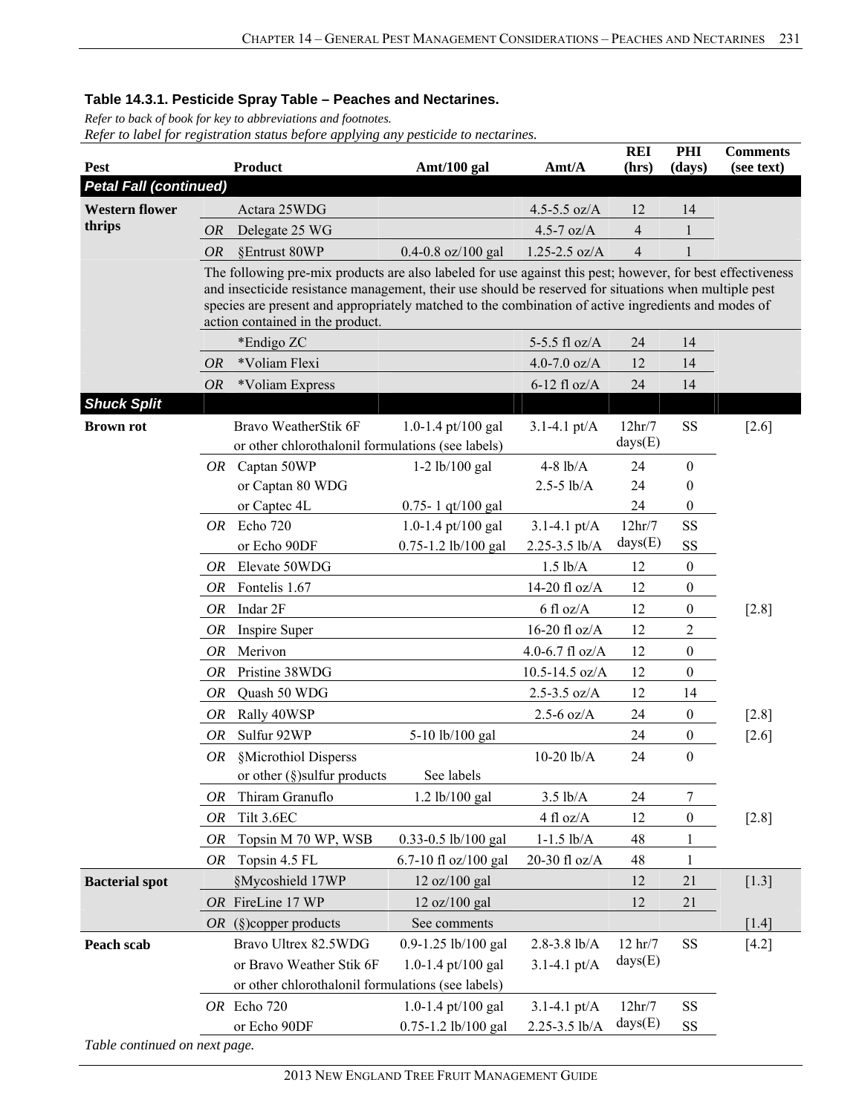*Refer to back of book for key to abbreviations and footnotes.* 

|                               |           |                                                                                                                                                                                                                                                                                                                                                                |                         |                     | <b>REI</b>          | PHI              | <b>Comments</b> |
|-------------------------------|-----------|----------------------------------------------------------------------------------------------------------------------------------------------------------------------------------------------------------------------------------------------------------------------------------------------------------------------------------------------------------------|-------------------------|---------------------|---------------------|------------------|-----------------|
| <b>Pest</b>                   |           | <b>Product</b>                                                                                                                                                                                                                                                                                                                                                 | Amt/100 gal             | Amt/A               | (hrs)               | (days)           | (see text)      |
| <b>Petal Fall (continued)</b> |           |                                                                                                                                                                                                                                                                                                                                                                |                         |                     |                     |                  |                 |
| <b>Western flower</b>         |           | Actara 25WDG                                                                                                                                                                                                                                                                                                                                                   |                         | 4.5-5.5 $oz/A$      | 12                  | 14               |                 |
| thrips                        | <b>OR</b> | Delegate 25 WG                                                                                                                                                                                                                                                                                                                                                 |                         | 4.5-7 $oz/A$        | 4                   | 1                |                 |
|                               | <b>OR</b> | §Entrust 80WP                                                                                                                                                                                                                                                                                                                                                  | $0.4 - 0.8$ oz/100 gal  | $1.25 - 2.5$ oz/A   | $\overline{4}$      |                  |                 |
|                               |           | The following pre-mix products are also labeled for use against this pest; however, for best effectiveness<br>and insecticide resistance management, their use should be reserved for situations when multiple pest<br>species are present and appropriately matched to the combination of active ingredients and modes of<br>action contained in the product. |                         |                     |                     |                  |                 |
|                               |           | *Endigo ZC                                                                                                                                                                                                                                                                                                                                                     |                         | 5-5.5 fl $oz/A$     | 24                  | 14               |                 |
|                               | <i>OR</i> | *Voliam Flexi                                                                                                                                                                                                                                                                                                                                                  |                         | 4.0-7.0 $oz/A$      | 12                  | 14               |                 |
|                               | <b>OR</b> | *Voliam Express                                                                                                                                                                                                                                                                                                                                                |                         | $6-12$ fl oz/A      | 24                  | 14               |                 |
| <b>Shuck Split</b>            |           |                                                                                                                                                                                                                                                                                                                                                                |                         |                     |                     |                  |                 |
| <b>Brown rot</b>              |           | Bravo WeatherStik 6F                                                                                                                                                                                                                                                                                                                                           | 1.0-1.4 pt/100 gal      | 3.1-4.1 $pt/A$      | 12hr/7              | <b>SS</b>        | $[2.6]$         |
|                               |           | or other chlorothalonil formulations (see labels)                                                                                                                                                                                                                                                                                                              |                         |                     | days(E)             |                  |                 |
|                               |           | OR Captan 50WP                                                                                                                                                                                                                                                                                                                                                 | $1-2$ lb/100 gal        | $4-8$ lb/A          | 24                  | $\boldsymbol{0}$ |                 |
|                               |           | or Captan 80 WDG                                                                                                                                                                                                                                                                                                                                               |                         | $2.5 - 5$ lb/A      | 24                  | $\theta$         |                 |
|                               |           | or Captec 4L                                                                                                                                                                                                                                                                                                                                                   | $0.75 - 1$ qt/100 gal   |                     | 24                  | $\theta$         |                 |
|                               | OR        | Echo 720                                                                                                                                                                                                                                                                                                                                                       | 1.0-1.4 pt/100 gal      | $3.1 - 4.1$ pt/A    | 12hr/7              | SS               |                 |
|                               |           | or Echo 90DF                                                                                                                                                                                                                                                                                                                                                   | $0.75 - 1.2$ lb/100 gal | 2.25-3.5 lb/A       | days(E)             | SS               |                 |
|                               | OR        | Elevate 50WDG                                                                                                                                                                                                                                                                                                                                                  |                         | $1.5$ $lb/A$        | 12                  | $\boldsymbol{0}$ |                 |
|                               | OR        | Fontelis 1.67                                                                                                                                                                                                                                                                                                                                                  |                         | 14-20 fl oz/A       | 12                  | $\mathbf{0}$     |                 |
|                               | OR        | Indar 2F                                                                                                                                                                                                                                                                                                                                                       |                         | $6 \text{ fl oz/A}$ | 12                  | $\boldsymbol{0}$ | $[2.8]$         |
|                               | OR        | Inspire Super                                                                                                                                                                                                                                                                                                                                                  |                         | $16-20$ fl oz/A     | 12                  | 2                |                 |
|                               | OR        | Merivon                                                                                                                                                                                                                                                                                                                                                        |                         | 4.0-6.7 $fl$ oz/A   | 12                  | $\boldsymbol{0}$ |                 |
|                               | <b>OR</b> | Pristine 38WDG                                                                                                                                                                                                                                                                                                                                                 |                         | $10.5 - 14.5$ oz/A  | 12                  | $\boldsymbol{0}$ |                 |
|                               | OR        | Quash 50 WDG                                                                                                                                                                                                                                                                                                                                                   |                         | $2.5 - 3.5$ oz/A    | 12                  | 14               |                 |
|                               | <b>OR</b> | Rally 40WSP                                                                                                                                                                                                                                                                                                                                                    |                         | $2.5 - 6$ oz/A      | 24                  | $\boldsymbol{0}$ | $[2.8]$         |
|                               | OR        | Sulfur 92WP                                                                                                                                                                                                                                                                                                                                                    | 5-10 lb/100 gal         |                     | 24                  | $\boldsymbol{0}$ | $[2.6]$         |
|                               | OR        | §Microthiol Disperss<br>or other $(\S)$ sulfur products                                                                                                                                                                                                                                                                                                        | See labels              | $10-20$ $lb/A$      | 24                  | $\theta$         |                 |
|                               | OR        | Thiram Granuflo                                                                                                                                                                                                                                                                                                                                                | $1.2$ lb/100 gal        | $3.5$ lb/A          | 24                  | 7                |                 |
|                               | <b>OR</b> | Tilt 3.6EC                                                                                                                                                                                                                                                                                                                                                     |                         | 4 fl oz/A           | 12                  | $\boldsymbol{0}$ | $[2.8]$         |
|                               | OR        | Topsin M 70 WP, WSB                                                                                                                                                                                                                                                                                                                                            | 0.33-0.5 lb/100 gal     | $1-1.5$ $lb/A$      | 48                  |                  |                 |
|                               | OR        | Topsin 4.5 FL                                                                                                                                                                                                                                                                                                                                                  | 6.7-10 fl oz/100 gal    | 20-30 fl oz/A       | 48                  |                  |                 |
| <b>Bacterial spot</b>         |           | §Mycoshield 17WP                                                                                                                                                                                                                                                                                                                                               | 12 oz/100 gal           |                     | 12                  | 21               | $[1.3]$         |
|                               |           | OR FireLine 17 WP                                                                                                                                                                                                                                                                                                                                              | 12 oz/100 gal           |                     | 12                  | 21               |                 |
|                               |           | <i>OR</i> (§)copper products                                                                                                                                                                                                                                                                                                                                   | See comments            |                     |                     |                  | $[1.4]$         |
| Peach scab                    |           | Bravo Ultrex 82.5WDG                                                                                                                                                                                                                                                                                                                                           | 0.9-1.25 lb/100 gal     | $2.8 - 3.8$ lb/A    | $12 \text{ hr} / 7$ | <b>SS</b>        | $[4.2]$         |
|                               |           | or Bravo Weather Stik 6F                                                                                                                                                                                                                                                                                                                                       | 1.0-1.4 pt/100 gal      | $3.1 - 4.1$ pt/A    | days(E)             |                  |                 |
|                               |           | or other chlorothalonil formulations (see labels)                                                                                                                                                                                                                                                                                                              |                         |                     |                     |                  |                 |
|                               |           | OR Echo 720                                                                                                                                                                                                                                                                                                                                                    | 1.0-1.4 pt/100 gal      | $3.1 - 4.1$ pt/A    | 12hr/7              | SS               |                 |
|                               |           | or Echo 90DF                                                                                                                                                                                                                                                                                                                                                   | 0.75-1.2 lb/100 gal     | 2.25-3.5 lb/A       | days(E)             | SS               |                 |
| Table continued on next page. |           |                                                                                                                                                                                                                                                                                                                                                                |                         |                     |                     |                  |                 |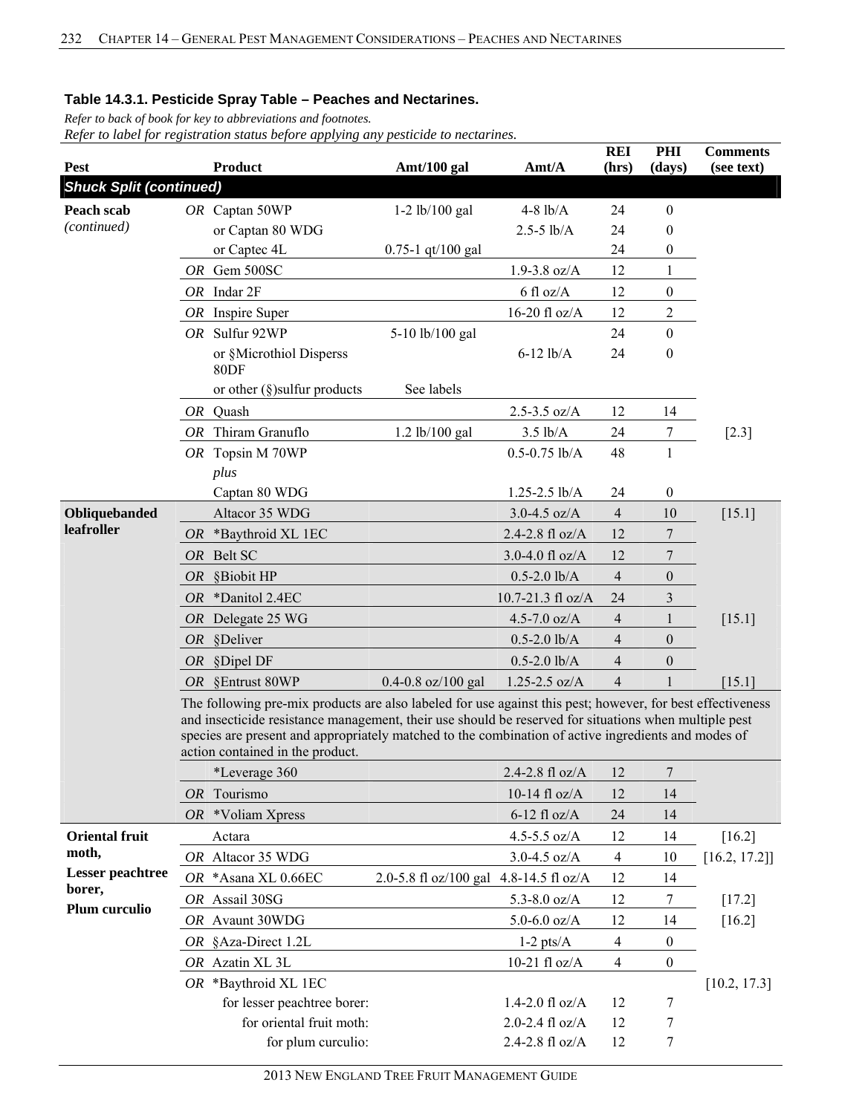*Refer to back of book for key to abbreviations and footnotes.* 

| <b>Pest</b>                    |                                                                                                                                                                                                                                                                                                                                                                | <b>Product</b>                                          | Amt/100 gal                            | Amt/A                                    | <b>REI</b><br>(hrs) | PHI<br>(days)    | <b>Comments</b><br>(see text) |  |  |  |
|--------------------------------|----------------------------------------------------------------------------------------------------------------------------------------------------------------------------------------------------------------------------------------------------------------------------------------------------------------------------------------------------------------|---------------------------------------------------------|----------------------------------------|------------------------------------------|---------------------|------------------|-------------------------------|--|--|--|
| <b>Shuck Split (continued)</b> |                                                                                                                                                                                                                                                                                                                                                                |                                                         |                                        |                                          |                     |                  |                               |  |  |  |
| Peach scab                     |                                                                                                                                                                                                                                                                                                                                                                | OR Captan 50WP                                          | $1-2$ lb/100 gal                       | $4-8$ lb/A                               | 24                  | $\boldsymbol{0}$ |                               |  |  |  |
| (continued)                    |                                                                                                                                                                                                                                                                                                                                                                | or Captan 80 WDG                                        |                                        | $2.5 - 5$ lb/A                           | 24                  | $\boldsymbol{0}$ |                               |  |  |  |
|                                |                                                                                                                                                                                                                                                                                                                                                                | or Captec 4L                                            | $0.75 - 1$ qt/100 gal                  |                                          | 24                  | 0                |                               |  |  |  |
|                                |                                                                                                                                                                                                                                                                                                                                                                | OR Gem 500SC                                            |                                        | $1.9 - 3.8$ oz/A                         | 12                  | $\mathbf{1}$     |                               |  |  |  |
|                                |                                                                                                                                                                                                                                                                                                                                                                | $OR$ Indar $2F$                                         |                                        | 6 fl oz/A                                | 12                  | $\boldsymbol{0}$ |                               |  |  |  |
|                                |                                                                                                                                                                                                                                                                                                                                                                | OR Inspire Super                                        |                                        | 16-20 fl oz/ $A$                         | 12                  | $\overline{c}$   |                               |  |  |  |
|                                |                                                                                                                                                                                                                                                                                                                                                                | OR Sulfur 92WP                                          | 5-10 lb/100 gal                        |                                          | 24                  | $\mathbf{0}$     |                               |  |  |  |
|                                |                                                                                                                                                                                                                                                                                                                                                                | or §Microthiol Disperss<br>80 <sub>DF</sub>             |                                        | $6-12$ lb/A                              | 24                  | $\boldsymbol{0}$ |                               |  |  |  |
|                                |                                                                                                                                                                                                                                                                                                                                                                | or other $(\S)$ sulfur products                         | See labels                             |                                          |                     |                  |                               |  |  |  |
|                                |                                                                                                                                                                                                                                                                                                                                                                | OR Quash                                                |                                        | $2.5 - 3.5$ oz/A                         | 12                  | 14               |                               |  |  |  |
|                                |                                                                                                                                                                                                                                                                                                                                                                | OR Thiram Granuflo                                      | 1.2 lb/100 gal                         | $3.5$ lb/A                               | 24                  | $\tau$           | $[2.3]$                       |  |  |  |
|                                |                                                                                                                                                                                                                                                                                                                                                                | OR Topsin M 70WP                                        |                                        | $0.5 - 0.75$ lb/A                        | 48                  | $\mathbf{1}$     |                               |  |  |  |
|                                |                                                                                                                                                                                                                                                                                                                                                                | plus                                                    |                                        |                                          |                     |                  |                               |  |  |  |
|                                |                                                                                                                                                                                                                                                                                                                                                                | Captan 80 WDG                                           |                                        | $1.25 - 2.5$ lb/A                        | 24                  | $\boldsymbol{0}$ |                               |  |  |  |
| Obliquebanded                  |                                                                                                                                                                                                                                                                                                                                                                | Altacor 35 WDG                                          |                                        | $3.0 - 4.5$ oz/A                         | $\overline{4}$      | 10               | $[15.1]$                      |  |  |  |
| leafroller                     | OR.                                                                                                                                                                                                                                                                                                                                                            | *Baythroid XL 1EC                                       |                                        | 2.4-2.8 fl oz/A                          | 12                  | 7                |                               |  |  |  |
|                                |                                                                                                                                                                                                                                                                                                                                                                | OR Belt SC                                              |                                        | 3.0-4.0 fl $oz/A$                        | 12                  | 7                |                               |  |  |  |
|                                | <i>OR</i>                                                                                                                                                                                                                                                                                                                                                      | §Biobit HP                                              |                                        | $0.5 - 2.0$ lb/A                         | $\overline{4}$      | $\boldsymbol{0}$ |                               |  |  |  |
|                                | <i>OR</i>                                                                                                                                                                                                                                                                                                                                                      | *Danitol 2.4EC                                          |                                        | $10.7 - 21.3$ fl oz/A                    | 24                  | 3                |                               |  |  |  |
|                                |                                                                                                                                                                                                                                                                                                                                                                | OR Delegate 25 WG                                       |                                        | 4.5-7.0 $oz/A$                           | $\overline{4}$      | $\mathbf{1}$     | [15.1]                        |  |  |  |
|                                |                                                                                                                                                                                                                                                                                                                                                                | OR §Deliver                                             |                                        | $0.5 - 2.0$ lb/A                         | $\overline{4}$      | $\boldsymbol{0}$ |                               |  |  |  |
|                                | OR                                                                                                                                                                                                                                                                                                                                                             | §Dipel DF                                               |                                        | $0.5 - 2.0$ lb/A                         | $\overline{4}$      | $\boldsymbol{0}$ |                               |  |  |  |
|                                |                                                                                                                                                                                                                                                                                                                                                                | OR §Entrust 80WP                                        | $0.4 - 0.8$ oz/100 gal                 | $1.25 - 2.5$ oz/A                        | $\overline{4}$      |                  | $[15.1]$                      |  |  |  |
|                                | The following pre-mix products are also labeled for use against this pest; however, for best effectiveness<br>and insecticide resistance management, their use should be reserved for situations when multiple pest<br>species are present and appropriately matched to the combination of active ingredients and modes of<br>action contained in the product. |                                                         |                                        |                                          |                     |                  |                               |  |  |  |
|                                |                                                                                                                                                                                                                                                                                                                                                                | *Leverage 360                                           |                                        | 2.4-2.8 fl $oz/A$                        | 12                  | 7                |                               |  |  |  |
|                                |                                                                                                                                                                                                                                                                                                                                                                | OR Tourismo                                             |                                        | 10-14 fl $oz/A$                          | 12                  | 14               |                               |  |  |  |
|                                |                                                                                                                                                                                                                                                                                                                                                                | OR *Voliam Xpress                                       |                                        | $6-12$ fl oz/A                           | 24                  | 14               |                               |  |  |  |
| <b>Oriental fruit</b><br>moth, |                                                                                                                                                                                                                                                                                                                                                                | Actara                                                  |                                        | 4.5-5.5 oz/A                             | 12                  | 14               | $[16.2]$                      |  |  |  |
| <b>Lesser</b> peachtree        |                                                                                                                                                                                                                                                                                                                                                                | OR Altacor 35 WDG                                       |                                        | $3.0 - 4.5$ oz/A                         | 4                   | 10               | [16.2, 17.2]                  |  |  |  |
| borer,                         |                                                                                                                                                                                                                                                                                                                                                                | OR *Asana XL 0.66EC                                     | 2.0-5.8 fl oz/100 gal 4.8-14.5 fl oz/A |                                          | 12                  | 14               |                               |  |  |  |
| Plum curculio                  |                                                                                                                                                                                                                                                                                                                                                                | OR Assail 30SG                                          |                                        | 5.3-8.0 $oz/A$                           | 12                  | 7                | $[17.2]$                      |  |  |  |
|                                |                                                                                                                                                                                                                                                                                                                                                                | OR Avaunt 30WDG                                         |                                        | $5.0 - 6.0$ oz/A                         | 12                  | 14               | [16.2]                        |  |  |  |
|                                |                                                                                                                                                                                                                                                                                                                                                                | OR §Aza-Direct 1.2L                                     |                                        | $1-2$ pts/ $A$                           | $\overline{4}$      | $\boldsymbol{0}$ |                               |  |  |  |
|                                |                                                                                                                                                                                                                                                                                                                                                                | OR Azatin XL 3L                                         | 10-21 fl oz/ $A$                       | 4                                        | $\boldsymbol{0}$    |                  |                               |  |  |  |
|                                |                                                                                                                                                                                                                                                                                                                                                                | OR *Baythroid XL 1EC                                    |                                        |                                          |                     |                  | [10.2, 17.3]                  |  |  |  |
|                                |                                                                                                                                                                                                                                                                                                                                                                | for lesser peachtree borer:<br>for oriental fruit moth: |                                        | $1.4 - 2.0$ fl oz/A<br>2.0-2.4 $fl$ oz/A | 12<br>12            | 7                |                               |  |  |  |
|                                |                                                                                                                                                                                                                                                                                                                                                                | for plum curculio:                                      |                                        | 2.4-2.8 fl oz/A                          | 12                  | 7<br>7           |                               |  |  |  |
|                                |                                                                                                                                                                                                                                                                                                                                                                |                                                         |                                        |                                          |                     |                  |                               |  |  |  |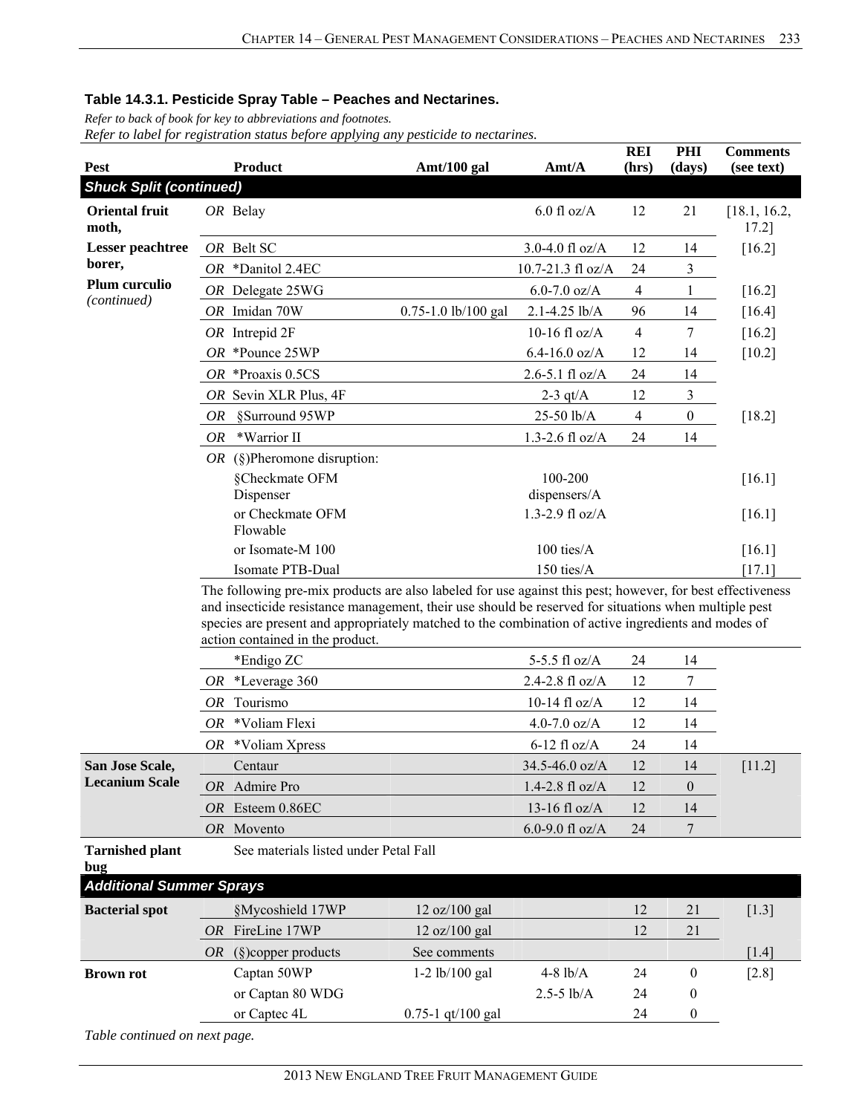*Refer to back of book for key to abbreviations and footnotes.* 

*Refer to label for registration status before applying any pesticide to nectarines.*

| Pest                            | Product                                                                                                                                                                                                                                                                                                                                                        | Amt/A                   | <b>REI</b><br>(hrs)     | PHI            | <b>Comments</b><br>(see text) |                       |
|---------------------------------|----------------------------------------------------------------------------------------------------------------------------------------------------------------------------------------------------------------------------------------------------------------------------------------------------------------------------------------------------------------|-------------------------|-------------------------|----------------|-------------------------------|-----------------------|
| <b>Shuck Split (continued)</b>  |                                                                                                                                                                                                                                                                                                                                                                | Amt/100 gal             |                         |                | (days)                        |                       |
| <b>Oriental fruit</b><br>moth,  | OR Belay                                                                                                                                                                                                                                                                                                                                                       |                         | $6.0$ fl oz/A           | 12             | 21                            | [18.1, 16.2,<br>17.2] |
| <b>Lesser</b> peachtree         | OR Belt SC                                                                                                                                                                                                                                                                                                                                                     |                         | 3.0-4.0 fl $oz/A$       | 12             | 14                            | [16.2]                |
| borer,                          | OR *Danitol 2.4EC                                                                                                                                                                                                                                                                                                                                              |                         | 10.7-21.3 fl oz/A       | 24             | 3                             |                       |
| Plum curculio<br>(continued)    | OR Delegate 25WG                                                                                                                                                                                                                                                                                                                                               |                         | $6.0 - 7.0$ oz/A        | $\overline{4}$ | 1                             | [16.2]                |
|                                 | OR Imidan 70W                                                                                                                                                                                                                                                                                                                                                  | $0.75 - 1.0$ lb/100 gal | 2.1-4.25 lb/A           | 96             | 14                            | [16.4]                |
|                                 | $OR$ Intrepid $2F$                                                                                                                                                                                                                                                                                                                                             |                         | 10-16 fl $oz/A$         | $\overline{4}$ | 7                             | [16.2]                |
|                                 | OR *Pounce 25WP                                                                                                                                                                                                                                                                                                                                                |                         | $6.4 - 16.0$ oz/A       | 12             | 14                            | [10.2]                |
|                                 | OR *Proaxis $0.5CS$                                                                                                                                                                                                                                                                                                                                            |                         | $2.6 - 5.1$ fl oz/A     | 24             | 14                            |                       |
|                                 | OR Sevin XLR Plus, 4F                                                                                                                                                                                                                                                                                                                                          |                         | 2-3 $qt/A$              | 12             | 3                             |                       |
|                                 | OR<br>§Surround 95WP                                                                                                                                                                                                                                                                                                                                           |                         | 25-50 lb/A              | 4              | $\boldsymbol{0}$              | [18.2]                |
|                                 | *Warrior II<br>OR                                                                                                                                                                                                                                                                                                                                              |                         | $1.3 - 2.6$ fl oz/A     | 24             | 14                            |                       |
|                                 | <i>OR</i> (§)Pheromone disruption:                                                                                                                                                                                                                                                                                                                             |                         |                         |                |                               |                       |
|                                 | §Checkmate OFM<br>Dispenser                                                                                                                                                                                                                                                                                                                                    |                         | 100-200<br>dispensers/A |                |                               | [16.1]                |
|                                 | or Checkmate OFM                                                                                                                                                                                                                                                                                                                                               |                         | 1.3-2.9 fl $oz/A$       |                |                               | [16.1]                |
|                                 | Flowable                                                                                                                                                                                                                                                                                                                                                       |                         |                         |                |                               |                       |
|                                 | or Isomate-M 100                                                                                                                                                                                                                                                                                                                                               |                         | $100$ ties/ $A$         |                |                               | [16.1]                |
|                                 | Isomate PTB-Dual                                                                                                                                                                                                                                                                                                                                               |                         | 150 ties/A              |                |                               | [17.1]                |
|                                 | The following pre-mix products are also labeled for use against this pest; however, for best effectiveness<br>and insecticide resistance management, their use should be reserved for situations when multiple pest<br>species are present and appropriately matched to the combination of active ingredients and modes of<br>action contained in the product. |                         |                         |                |                               |                       |
|                                 | *Endigo ZC                                                                                                                                                                                                                                                                                                                                                     |                         | 5-5.5 fl oz/A           | 24             | 14                            |                       |
|                                 | OR *Leverage 360                                                                                                                                                                                                                                                                                                                                               |                         | 2.4-2.8 fl oz/A         | 12             | $\tau$                        |                       |
|                                 | OR Tourismo                                                                                                                                                                                                                                                                                                                                                    |                         | 10-14 fl $oz/A$         | 12             | 14                            |                       |
|                                 | *Voliam Flexi<br><b>OR</b>                                                                                                                                                                                                                                                                                                                                     |                         | 4.0-7.0 $oz/A$          | 12             | 14                            |                       |
|                                 | $OR$ *Voliam Xpress                                                                                                                                                                                                                                                                                                                                            |                         | $6-12$ fl oz/A          | 24             | 14                            |                       |
| San Jose Scale,                 | Centaur                                                                                                                                                                                                                                                                                                                                                        |                         | 34.5-46.0 oz/A          | 12             | 14                            | [11.2]                |
| <b>Lecanium Scale</b>           | OR Admire Pro                                                                                                                                                                                                                                                                                                                                                  |                         | 1.4-2.8 fl oz/A         | 12             | $\boldsymbol{0}$              |                       |
|                                 | OR Esteem 0.86EC                                                                                                                                                                                                                                                                                                                                               |                         | 13-16 fl oz/ $A$        | 12             | 14                            |                       |
|                                 | OR Movento                                                                                                                                                                                                                                                                                                                                                     |                         | 6.0-9.0 fl $oz/A$       | 24             | 7                             |                       |
| <b>Tarnished plant</b><br>bug   | See materials listed under Petal Fall                                                                                                                                                                                                                                                                                                                          |                         |                         |                |                               |                       |
| <b>Additional Summer Sprays</b> |                                                                                                                                                                                                                                                                                                                                                                |                         |                         |                |                               |                       |
| <b>Bacterial spot</b>           | §Mycoshield 17WP                                                                                                                                                                                                                                                                                                                                               | 12 oz/100 gal           |                         | 12             | 21                            | $[1.3]$               |
|                                 | FireLine 17WP<br><i>OR</i>                                                                                                                                                                                                                                                                                                                                     | 12 oz/100 gal           |                         | 12             | 21                            |                       |
|                                 | <i>OR</i> (§)copper products                                                                                                                                                                                                                                                                                                                                   | See comments            |                         |                |                               | $[1.4]$               |
| <b>Brown rot</b>                | Captan 50WP                                                                                                                                                                                                                                                                                                                                                    | $1-2$ lb/100 gal        | $4-8$ $lb/A$            | 24             | $\bf{0}$                      | $[2.8]$               |
|                                 | or Captan 80 WDG                                                                                                                                                                                                                                                                                                                                               |                         | $2.5 - 5$ lb/A          | 24             | $\boldsymbol{0}$              |                       |
|                                 | or Captec 4L                                                                                                                                                                                                                                                                                                                                                   | 0.75-1 qt/100 gal       |                         | 24             | $\boldsymbol{0}$              |                       |

*Table continued on next page.*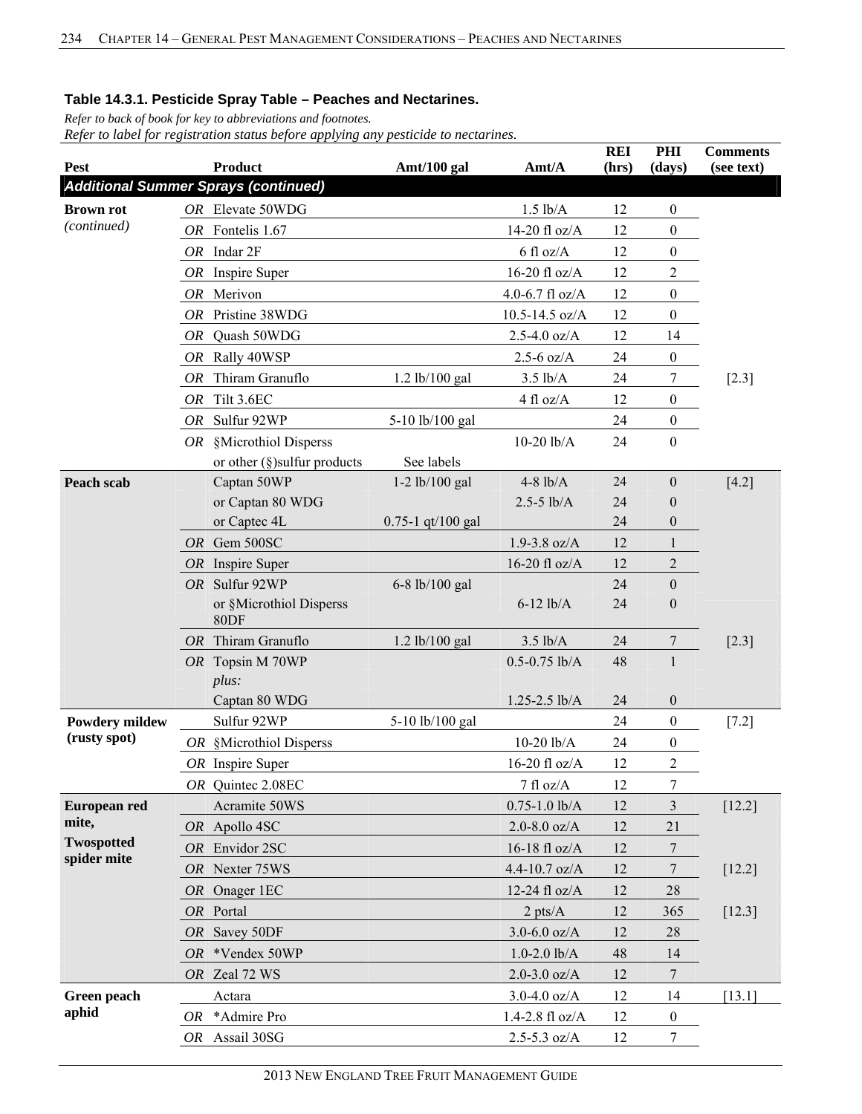*Refer to back of book for key to abbreviations and footnotes. Refer to label for registration status before applying any pesticide to nectarines.*

|                                 |           |                                             |                       |                     | <b>REI</b> | PHI              | <b>Comments</b> |
|---------------------------------|-----------|---------------------------------------------|-----------------------|---------------------|------------|------------------|-----------------|
| <b>Pest</b>                     |           | <b>Product</b>                              | Amt/100 gal           | Amt/A               | (hrs)      | (days)           | (see text)      |
|                                 |           | <b>Additional Summer Sprays (continued)</b> |                       |                     |            |                  |                 |
| <b>Brown rot</b><br>(continued) |           | OR Elevate 50WDG                            |                       | $1.5$ $lb/A$        | 12         | $\boldsymbol{0}$ |                 |
|                                 |           | OR Fontelis 1.67                            |                       | 14-20 fl oz/A       | 12         | $\boldsymbol{0}$ |                 |
|                                 |           | $OR$ Indar $2F$                             |                       | $6$ fl oz/A         | 12         | $\boldsymbol{0}$ |                 |
|                                 |           | OR Inspire Super                            |                       | $16-20$ fl oz/A     | 12         | $\overline{c}$   |                 |
|                                 |           | OR Merivon                                  |                       | 4.0-6.7 $fl$ oz/A   | 12         | $\boldsymbol{0}$ |                 |
|                                 | OR        | Pristine 38WDG                              |                       | $10.5 - 14.5$ oz/A  | 12         | $\boldsymbol{0}$ |                 |
|                                 | OR        | Quash 50WDG                                 |                       | $2.5 - 4.0$ oz/A    | 12         | 14               |                 |
|                                 | OR        | Rally 40WSP                                 |                       | $2.5 - 6$ oz/A      | 24         | $\boldsymbol{0}$ |                 |
|                                 | OR        | Thiram Granuflo                             | 1.2 lb/100 gal        | $3.5$ lb/A          | 24         | 7                | $[2.3]$         |
|                                 | <b>OR</b> | Tilt 3.6EC                                  |                       | $4 \text{ fl oz/A}$ | 12         | $\boldsymbol{0}$ |                 |
|                                 | OR        | Sulfur 92WP                                 | 5-10 lb/100 gal       |                     | 24         | $\boldsymbol{0}$ |                 |
|                                 |           | OR §Microthiol Disperss                     |                       | $10-20$ lb/A        | 24         | $\boldsymbol{0}$ |                 |
|                                 |           | or other $(\S)$ sulfur products             | See labels            |                     |            |                  |                 |
| Peach scab                      |           | Captan 50WP                                 | $1-2$ lb/100 gal      | $4-8$ lb/A          | 24         | $\boldsymbol{0}$ | $[4.2]$         |
|                                 |           | or Captan 80 WDG                            |                       | $2.5 - 5$ lb/A      | 24         | $\boldsymbol{0}$ |                 |
|                                 |           | or Captec 4L                                | $0.75 - 1$ qt/100 gal |                     | 24         | $\boldsymbol{0}$ |                 |
|                                 |           | OR Gem 500SC                                |                       | $1.9 - 3.8$ oz/A    | 12         | 1                |                 |
|                                 |           | OR Inspire Super                            |                       | 16-20 fl oz/A       | 12         | $\overline{2}$   |                 |
|                                 |           | OR Sulfur 92WP                              | 6-8 lb/100 gal        |                     | 24         | $\boldsymbol{0}$ |                 |
|                                 |           | or §Microthiol Disperss<br>80DF             |                       | $6-12$ lb/A         | 24         | $\boldsymbol{0}$ |                 |
|                                 | OR        | Thiram Granuflo                             | 1.2 lb/100 gal        | $3.5$ lb/A          | 24         | 7                | $[2.3]$         |
|                                 |           | OR Topsin M 70WP                            |                       | $0.5 - 0.75$ lb/A   | 48         | $\mathbf{1}$     |                 |
|                                 |           | plus:                                       |                       |                     |            |                  |                 |
|                                 |           | Captan 80 WDG                               |                       | $1.25 - 2.5$ lb/A   | 24         | $\boldsymbol{0}$ |                 |
| <b>Powdery mildew</b>           |           | Sulfur 92WP                                 | 5-10 lb/100 gal       |                     | 24         | $\boldsymbol{0}$ | $[7.2]$         |
| (rusty spot)                    |           | OR §Microthiol Disperss                     |                       | $10-20$ lb/A        | 24         | $\boldsymbol{0}$ |                 |
|                                 |           | $OR$ Inspire Super                          |                       | 16-20 fl $oz/A$     | 12         | $\overline{2}$   |                 |
|                                 |           | OR Quintee 2.08EC                           |                       | 7 fl oz/A           | 12         | $\boldsymbol{7}$ |                 |
| European red                    |           | Acramite 50WS                               |                       | $0.75 - 1.0$ lb/A   | 12         | 3                | $[12.2]$        |
| mite,                           |           | OR Apollo 4SC                               |                       | $2.0 - 8.0$ oz/A    | 12         | 21               |                 |
| <b>Twospotted</b>               |           | OR Envidor 2SC                              |                       | 16-18 fl oz/ $A$    | 12         | $\tau$           |                 |
| spider mite                     |           | OR Nexter 75WS                              |                       | $4.4 - 10.7$ oz/A   | 12         | 7                | $[12.2]$        |
|                                 |           | OR Onager 1EC                               |                       | 12-24 fl oz/A       | 12         | 28               |                 |
|                                 |           | OR Portal                                   |                       | $2$ pts/ $A$        | 12         | 365              | $[12.3]$        |
|                                 | OR        | Savey 50DF                                  |                       | $3.0 - 6.0$ oz/A    | 12         | 28               |                 |
|                                 | OR        | *Vendex 50WP                                |                       | $1.0 - 2.0$ lb/A    | 48         | 14               |                 |
|                                 |           | OR Zeal 72 WS                               |                       | $2.0 - 3.0$ oz/A    | 12         | 7                |                 |
| Green peach                     |           | Actara                                      |                       | $3.0 - 4.0$ oz/A    | 12         | 14               | [13.1]          |
| aphid                           | OR        | *Admire Pro                                 |                       | $1.4 - 2.8$ fl oz/A | 12         | $\boldsymbol{0}$ |                 |
|                                 |           | OR Assail 30SG                              |                       | $2.5 - 5.3$ oz/A    | 12         | $\tau$           |                 |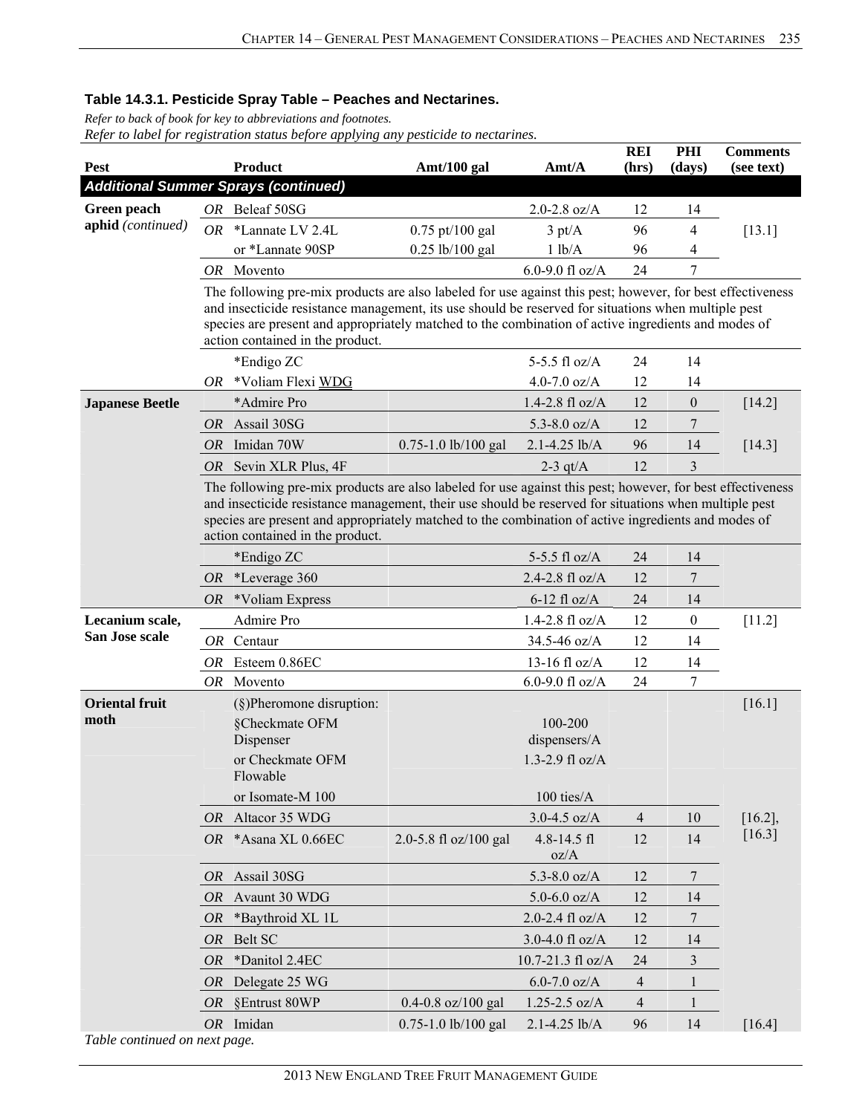*Refer to back of book for key to abbreviations and footnotes.* 

| Pest                          |                                                                                                                                                                                                                                                                                                                                                                | <b>Product</b>                                                                                                                                                                                                                                                                                                           | Amt/100 gal            | Amt/A                                        | <b>REI</b><br>(hrs) | PHI<br>(days)    | <b>Comments</b><br>(see text) |  |  |  |  |  |  |
|-------------------------------|----------------------------------------------------------------------------------------------------------------------------------------------------------------------------------------------------------------------------------------------------------------------------------------------------------------------------------------------------------------|--------------------------------------------------------------------------------------------------------------------------------------------------------------------------------------------------------------------------------------------------------------------------------------------------------------------------|------------------------|----------------------------------------------|---------------------|------------------|-------------------------------|--|--|--|--|--|--|
|                               |                                                                                                                                                                                                                                                                                                                                                                | <b>Additional Summer Sprays (continued)</b>                                                                                                                                                                                                                                                                              |                        |                                              |                     |                  |                               |  |  |  |  |  |  |
| Green peach                   |                                                                                                                                                                                                                                                                                                                                                                | OR Beleaf 50SG                                                                                                                                                                                                                                                                                                           |                        | 2.0-2.8 $oz/A$                               | 12                  | 14               |                               |  |  |  |  |  |  |
| aphid (continued)             | OR                                                                                                                                                                                                                                                                                                                                                             | *Lannate LV 2.4L                                                                                                                                                                                                                                                                                                         | $0.75$ pt/100 gal      | $3 \text{ pt/A}$                             | 96                  | $\overline{4}$   | $[13.1]$                      |  |  |  |  |  |  |
|                               |                                                                                                                                                                                                                                                                                                                                                                | or *Lannate 90SP                                                                                                                                                                                                                                                                                                         | 0.25 lb/100 gal        | 1 lb/A                                       | 96                  | 4                |                               |  |  |  |  |  |  |
|                               |                                                                                                                                                                                                                                                                                                                                                                | OR Movento                                                                                                                                                                                                                                                                                                               |                        | 6.0-9.0 fl $oz/A$                            | 24                  | 7                |                               |  |  |  |  |  |  |
|                               |                                                                                                                                                                                                                                                                                                                                                                | The following pre-mix products are also labeled for use against this pest; however, for best effectiveness<br>and insecticide resistance management, its use should be reserved for situations when multiple pest<br>species are present and appropriately matched to the combination of active ingredients and modes of |                        |                                              |                     |                  |                               |  |  |  |  |  |  |
|                               |                                                                                                                                                                                                                                                                                                                                                                | action contained in the product.                                                                                                                                                                                                                                                                                         |                        |                                              |                     |                  |                               |  |  |  |  |  |  |
|                               |                                                                                                                                                                                                                                                                                                                                                                | *Endigo ZC                                                                                                                                                                                                                                                                                                               |                        | 5-5.5 fl $oz/A$                              | 24                  | 14               |                               |  |  |  |  |  |  |
|                               | OR                                                                                                                                                                                                                                                                                                                                                             | *Voliam Flexi WDG                                                                                                                                                                                                                                                                                                        |                        | 4.0-7.0 $oz/A$                               | 12                  | 14               |                               |  |  |  |  |  |  |
| <b>Japanese Beetle</b>        |                                                                                                                                                                                                                                                                                                                                                                | *Admire Pro                                                                                                                                                                                                                                                                                                              |                        | $1.4 - 2.8$ fl oz/A                          | 12                  | $\boldsymbol{0}$ | $[14.2]$                      |  |  |  |  |  |  |
|                               | <i>OR</i>                                                                                                                                                                                                                                                                                                                                                      | Assail 30SG                                                                                                                                                                                                                                                                                                              |                        | 5.3-8.0 $oz/A$                               | 12                  | 7                |                               |  |  |  |  |  |  |
|                               | <b>OR</b>                                                                                                                                                                                                                                                                                                                                                      | Imidan 70W                                                                                                                                                                                                                                                                                                               | 0.75-1.0 lb/100 gal    | 2.1-4.25 lb/A                                | 96                  | 14               | [14.3]                        |  |  |  |  |  |  |
|                               | <b>OR</b>                                                                                                                                                                                                                                                                                                                                                      | Sevin XLR Plus, 4F                                                                                                                                                                                                                                                                                                       |                        | $2-3$ qt/A                                   | 12                  | $\overline{3}$   |                               |  |  |  |  |  |  |
|                               | The following pre-mix products are also labeled for use against this pest; however, for best effectiveness<br>and insecticide resistance management, their use should be reserved for situations when multiple pest<br>species are present and appropriately matched to the combination of active ingredients and modes of<br>action contained in the product. |                                                                                                                                                                                                                                                                                                                          |                        |                                              |                     |                  |                               |  |  |  |  |  |  |
|                               |                                                                                                                                                                                                                                                                                                                                                                | *Endigo ZC                                                                                                                                                                                                                                                                                                               |                        | 5-5.5 fl oz/A                                | 24                  | 14               |                               |  |  |  |  |  |  |
|                               | OR                                                                                                                                                                                                                                                                                                                                                             | *Leverage 360                                                                                                                                                                                                                                                                                                            |                        | 2.4-2.8 fl oz/A                              | 12                  | 7                |                               |  |  |  |  |  |  |
|                               | OR.                                                                                                                                                                                                                                                                                                                                                            | *Voliam Express                                                                                                                                                                                                                                                                                                          |                        | $6-12$ fl oz/A                               | 24                  | 14               |                               |  |  |  |  |  |  |
| Lecanium scale,               |                                                                                                                                                                                                                                                                                                                                                                | Admire Pro                                                                                                                                                                                                                                                                                                               |                        | $1.4 - 2.8$ fl oz/A                          | 12                  | $\boldsymbol{0}$ | $[11.2]$                      |  |  |  |  |  |  |
| San Jose scale                |                                                                                                                                                                                                                                                                                                                                                                | OR Centaur                                                                                                                                                                                                                                                                                                               |                        | 34.5-46 oz/A                                 | 12                  | 14               |                               |  |  |  |  |  |  |
|                               |                                                                                                                                                                                                                                                                                                                                                                | OR Esteem 0.86EC                                                                                                                                                                                                                                                                                                         |                        | 13-16 fl oz/A                                | 12                  | 14               |                               |  |  |  |  |  |  |
|                               | OR.                                                                                                                                                                                                                                                                                                                                                            | Movento                                                                                                                                                                                                                                                                                                                  |                        | 6.0-9.0 fl $oz/A$                            | 24                  | 7                |                               |  |  |  |  |  |  |
| <b>Oriental fruit</b><br>moth |                                                                                                                                                                                                                                                                                                                                                                | $(\S)$ Pheromone disruption:<br>§Checkmate OFM<br>Dispenser<br>or Checkmate OFM                                                                                                                                                                                                                                          |                        | 100-200<br>dispensers/A<br>1.3-2.9 fl $oz/A$ |                     |                  | $[16.1]$                      |  |  |  |  |  |  |
|                               |                                                                                                                                                                                                                                                                                                                                                                | Flowable                                                                                                                                                                                                                                                                                                                 |                        |                                              |                     |                  |                               |  |  |  |  |  |  |
|                               |                                                                                                                                                                                                                                                                                                                                                                | or Isomate-M 100                                                                                                                                                                                                                                                                                                         |                        | 100 ties/A                                   |                     |                  |                               |  |  |  |  |  |  |
|                               | OR                                                                                                                                                                                                                                                                                                                                                             | Altacor 35 WDG                                                                                                                                                                                                                                                                                                           |                        | $3.0 - 4.5$ oz/A                             | $\overline{4}$      | 10               | $[16.2]$ ,                    |  |  |  |  |  |  |
|                               |                                                                                                                                                                                                                                                                                                                                                                | OR *Asana XL 0.66EC                                                                                                                                                                                                                                                                                                      | 2.0-5.8 fl oz/100 gal  | $4.8 - 14.5$ fl<br>oz/A                      | 12                  | 14               | $[16.3]$                      |  |  |  |  |  |  |
|                               | OR                                                                                                                                                                                                                                                                                                                                                             | Assail 30SG                                                                                                                                                                                                                                                                                                              |                        | 5.3-8.0 $oz/A$                               | 12                  | 7                |                               |  |  |  |  |  |  |
|                               | <i>OR</i>                                                                                                                                                                                                                                                                                                                                                      | Avaunt 30 WDG                                                                                                                                                                                                                                                                                                            |                        | $5.0 - 6.0$ oz/A                             | 12                  | 14               |                               |  |  |  |  |  |  |
|                               | <i>OR</i>                                                                                                                                                                                                                                                                                                                                                      | *Baythroid XL 1L                                                                                                                                                                                                                                                                                                         |                        | 2.0-2.4 fl $oz/A$                            | 12                  | 7                |                               |  |  |  |  |  |  |
|                               | <i>OR</i>                                                                                                                                                                                                                                                                                                                                                      | Belt SC                                                                                                                                                                                                                                                                                                                  |                        | 3.0-4.0 fl $oz/A$                            | 12                  | 14               |                               |  |  |  |  |  |  |
|                               | <b>OR</b>                                                                                                                                                                                                                                                                                                                                                      | *Danitol 2.4EC                                                                                                                                                                                                                                                                                                           |                        | 10.7-21.3 fl oz/A                            | 24                  | 3                |                               |  |  |  |  |  |  |
|                               | <i>OR</i>                                                                                                                                                                                                                                                                                                                                                      | Delegate 25 WG                                                                                                                                                                                                                                                                                                           |                        | $6.0 - 7.0$ oz/A                             | 4                   | 1                |                               |  |  |  |  |  |  |
|                               | <i>OR</i>                                                                                                                                                                                                                                                                                                                                                      | §Entrust 80WP                                                                                                                                                                                                                                                                                                            | $0.4 - 0.8$ oz/100 gal | $1.25 - 2.5$ oz/A                            | 4                   | 1                |                               |  |  |  |  |  |  |
|                               |                                                                                                                                                                                                                                                                                                                                                                | OR Imidan                                                                                                                                                                                                                                                                                                                | 0.75-1.0 lb/100 gal    | $2.1 - 4.25$ lb/A                            | 96                  | 14               | [16.4]                        |  |  |  |  |  |  |
| Table continued on next page. |                                                                                                                                                                                                                                                                                                                                                                |                                                                                                                                                                                                                                                                                                                          |                        |                                              |                     |                  |                               |  |  |  |  |  |  |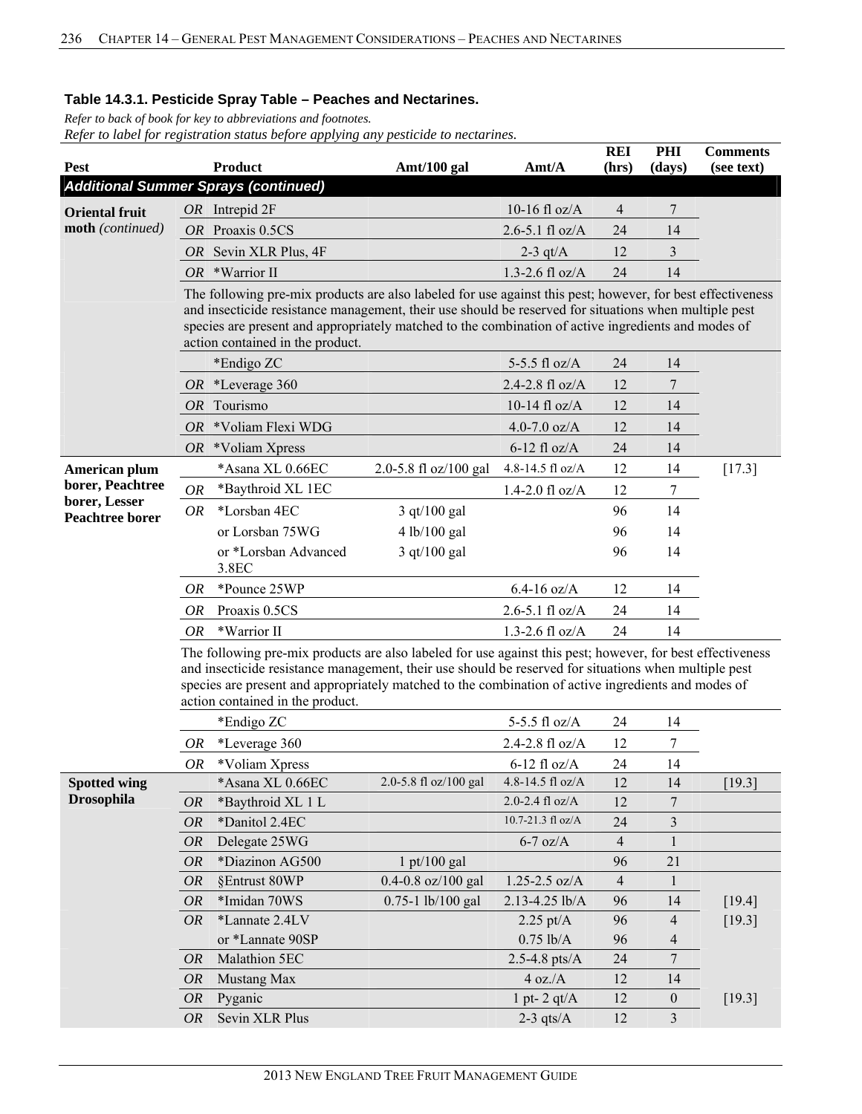*Refer to back of book for key to abbreviations and footnotes.* 

| Pest                                    |                                                                                                                                                                                                                                                                                                                                                                | <b>Product</b><br>Amt/100 gal<br>Amt/A                                                                                                                                                                                                                                                                                                                         |                               |                             |                | PHI<br>(days)  | <b>Comments</b><br>(see text) |  |  |  |  |
|-----------------------------------------|----------------------------------------------------------------------------------------------------------------------------------------------------------------------------------------------------------------------------------------------------------------------------------------------------------------------------------------------------------------|----------------------------------------------------------------------------------------------------------------------------------------------------------------------------------------------------------------------------------------------------------------------------------------------------------------------------------------------------------------|-------------------------------|-----------------------------|----------------|----------------|-------------------------------|--|--|--|--|
|                                         |                                                                                                                                                                                                                                                                                                                                                                | <b>Additional Summer Sprays (continued)</b>                                                                                                                                                                                                                                                                                                                    |                               |                             | (hrs)          |                |                               |  |  |  |  |
| <b>Oriental fruit</b>                   |                                                                                                                                                                                                                                                                                                                                                                | $OR$ Intrepid $2F$                                                                                                                                                                                                                                                                                                                                             |                               | 10-16 fl $oz/A$             | 4              | 7              |                               |  |  |  |  |
| moth (continued)                        | <i>OR</i>                                                                                                                                                                                                                                                                                                                                                      | Proaxis 0.5CS                                                                                                                                                                                                                                                                                                                                                  |                               | $2.6 - 5.1$ fl oz/A         | 24             | 14             |                               |  |  |  |  |
|                                         | OR                                                                                                                                                                                                                                                                                                                                                             | Sevin XLR Plus, 4F                                                                                                                                                                                                                                                                                                                                             |                               | $2-3$ qt/A                  | 12             | 3              |                               |  |  |  |  |
|                                         | <i>OR</i>                                                                                                                                                                                                                                                                                                                                                      | *Warrior II                                                                                                                                                                                                                                                                                                                                                    |                               | 1.3-2.6 fl $oz/A$           | 24             | 14             |                               |  |  |  |  |
|                                         | The following pre-mix products are also labeled for use against this pest; however, for best effectiveness<br>and insecticide resistance management, their use should be reserved for situations when multiple pest<br>species are present and appropriately matched to the combination of active ingredients and modes of<br>action contained in the product. |                                                                                                                                                                                                                                                                                                                                                                |                               |                             |                |                |                               |  |  |  |  |
|                                         |                                                                                                                                                                                                                                                                                                                                                                | *Endigo ZC                                                                                                                                                                                                                                                                                                                                                     |                               | 5-5.5 fl oz/A               | 24             | 14             |                               |  |  |  |  |
|                                         |                                                                                                                                                                                                                                                                                                                                                                | OR *Leverage 360                                                                                                                                                                                                                                                                                                                                               |                               | 2.4-2.8 $fl$ oz/A           | 12             | $\overline{7}$ |                               |  |  |  |  |
|                                         | <i>OR</i>                                                                                                                                                                                                                                                                                                                                                      | Tourismo                                                                                                                                                                                                                                                                                                                                                       |                               | 10-14 fl $oz/A$             | 12             | 14             |                               |  |  |  |  |
|                                         | <i>OR</i>                                                                                                                                                                                                                                                                                                                                                      | *Voliam Flexi WDG                                                                                                                                                                                                                                                                                                                                              |                               | 4.0-7.0 $oz/A$              | 12             | 14             |                               |  |  |  |  |
|                                         |                                                                                                                                                                                                                                                                                                                                                                | $OR$ *Voliam Xpress                                                                                                                                                                                                                                                                                                                                            |                               | $6-12$ fl oz/A              | 24             | 14             |                               |  |  |  |  |
| American plum                           |                                                                                                                                                                                                                                                                                                                                                                | *Asana XL 0.66EC                                                                                                                                                                                                                                                                                                                                               | 2.0-5.8 fl oz/100 gal         | 4.8-14.5 fl oz/A            | 12             | 14             | [17.3]                        |  |  |  |  |
| borer, Peachtree                        | OR                                                                                                                                                                                                                                                                                                                                                             | *Baythroid XL 1EC                                                                                                                                                                                                                                                                                                                                              |                               | $1.4 - 2.0$ fl oz/A         | 12             | 7              |                               |  |  |  |  |
| borer, Lesser<br><b>Peachtree borer</b> | <i>OR</i>                                                                                                                                                                                                                                                                                                                                                      | *Lorsban 4EC                                                                                                                                                                                                                                                                                                                                                   | 3 qt/100 gal                  |                             | 96             | 14             |                               |  |  |  |  |
|                                         |                                                                                                                                                                                                                                                                                                                                                                | or Lorsban 75WG                                                                                                                                                                                                                                                                                                                                                | 4 lb/100 gal                  |                             | 96             | 14             |                               |  |  |  |  |
|                                         |                                                                                                                                                                                                                                                                                                                                                                | or *Lorsban Advanced<br>3.8EC                                                                                                                                                                                                                                                                                                                                  | 3 qt/100 gal                  |                             | 96             | 14             |                               |  |  |  |  |
|                                         | 0R                                                                                                                                                                                                                                                                                                                                                             | *Pounce 25WP                                                                                                                                                                                                                                                                                                                                                   |                               | $6.4 - 16$ oz/A             | 12             | 14             |                               |  |  |  |  |
|                                         | OR                                                                                                                                                                                                                                                                                                                                                             | Proaxis 0.5CS                                                                                                                                                                                                                                                                                                                                                  |                               | $2.6 - 5.1$ fl oz/A         | 24             | 14             |                               |  |  |  |  |
|                                         | OR                                                                                                                                                                                                                                                                                                                                                             | *Warrior II                                                                                                                                                                                                                                                                                                                                                    |                               | $1.3 - 2.6$ fl oz/A         | 24             | 14             |                               |  |  |  |  |
|                                         |                                                                                                                                                                                                                                                                                                                                                                | The following pre-mix products are also labeled for use against this pest; however, for best effectiveness<br>and insecticide resistance management, their use should be reserved for situations when multiple pest<br>species are present and appropriately matched to the combination of active ingredients and modes of<br>action contained in the product. |                               |                             |                |                |                               |  |  |  |  |
|                                         |                                                                                                                                                                                                                                                                                                                                                                | *Endigo ZC                                                                                                                                                                                                                                                                                                                                                     |                               | 5-5.5 fl oz/A               | 24             | 14             |                               |  |  |  |  |
|                                         | OR                                                                                                                                                                                                                                                                                                                                                             | *Leverage 360                                                                                                                                                                                                                                                                                                                                                  |                               | 2.4-2.8 fl oz/A             | 12             | 7              |                               |  |  |  |  |
|                                         | OR                                                                                                                                                                                                                                                                                                                                                             | *Voliam Xpress                                                                                                                                                                                                                                                                                                                                                 |                               | $6-12$ fl oz/A              | 24             | 14             |                               |  |  |  |  |
| <b>Spotted wing</b>                     |                                                                                                                                                                                                                                                                                                                                                                | *Asana XL 0.66EC                                                                                                                                                                                                                                                                                                                                               | 2.0-5.8 fl oz/100 gal         | 4.8-14.5 fl oz/A            | 12             | 14             | $[19.3]$                      |  |  |  |  |
| <b>Drosophila</b>                       | <b>OR</b>                                                                                                                                                                                                                                                                                                                                                      | *Baythroid XL 1 L                                                                                                                                                                                                                                                                                                                                              |                               | 2.0-2.4 $f1 oz/A$           | 12             | 7              |                               |  |  |  |  |
|                                         | <b>OR</b>                                                                                                                                                                                                                                                                                                                                                      | *Danitol 2.4EC                                                                                                                                                                                                                                                                                                                                                 |                               | 10.7-21.3 fl oz/A           | 24             | 3              |                               |  |  |  |  |
|                                         | <i>OR</i>                                                                                                                                                                                                                                                                                                                                                      | Delegate 25WG                                                                                                                                                                                                                                                                                                                                                  |                               | $6-7$ oz/A                  | $\overline{4}$ | $\mathbf{1}$   |                               |  |  |  |  |
|                                         | <b>OR</b>                                                                                                                                                                                                                                                                                                                                                      | *Diazinon AG500                                                                                                                                                                                                                                                                                                                                                | $1 \frac{\text{pt}}{100}$ gal |                             | 96             | 21             |                               |  |  |  |  |
|                                         | <b>OR</b>                                                                                                                                                                                                                                                                                                                                                      | §Entrust 80WP                                                                                                                                                                                                                                                                                                                                                  | 0.4-0.8 oz/100 gal            | $1.25 - 2.5$ oz/A           | 4              | $\mathbf{1}$   |                               |  |  |  |  |
|                                         | <b>OR</b>                                                                                                                                                                                                                                                                                                                                                      | *Imidan 70WS                                                                                                                                                                                                                                                                                                                                                   | 0.75-1 lb/100 gal             | 2.13-4.25 lb/A              | 96             | 14             | $[19.4]$                      |  |  |  |  |
|                                         | <b>OR</b>                                                                                                                                                                                                                                                                                                                                                      | *Lannate 2.4LV                                                                                                                                                                                                                                                                                                                                                 |                               | $2.25 \text{ pt/A}$         | 96             | 4              | [19.3]                        |  |  |  |  |
|                                         |                                                                                                                                                                                                                                                                                                                                                                | or *Lannate 90SP                                                                                                                                                                                                                                                                                                                                               |                               | $0.75$ lb/A                 | 96             | 4<br>$\tau$    |                               |  |  |  |  |
|                                         | <b>OR</b><br><b>OR</b>                                                                                                                                                                                                                                                                                                                                         | Malathion 5EC<br>Mustang Max                                                                                                                                                                                                                                                                                                                                   |                               | $2.5 - 4.8$ pts/A<br>4 oz.A | 24<br>12       | 14             |                               |  |  |  |  |
|                                         | <b>OR</b>                                                                                                                                                                                                                                                                                                                                                      | Pyganic                                                                                                                                                                                                                                                                                                                                                        |                               | 1 pt- $2$ qt/ $A$           | 12             | $\mathbf{0}$   | [19.3]                        |  |  |  |  |
|                                         | <b>OR</b>                                                                                                                                                                                                                                                                                                                                                      | Sevin XLR Plus                                                                                                                                                                                                                                                                                                                                                 |                               | $2-3$ qts/A                 | 12             | 3              |                               |  |  |  |  |
|                                         |                                                                                                                                                                                                                                                                                                                                                                |                                                                                                                                                                                                                                                                                                                                                                |                               |                             |                |                |                               |  |  |  |  |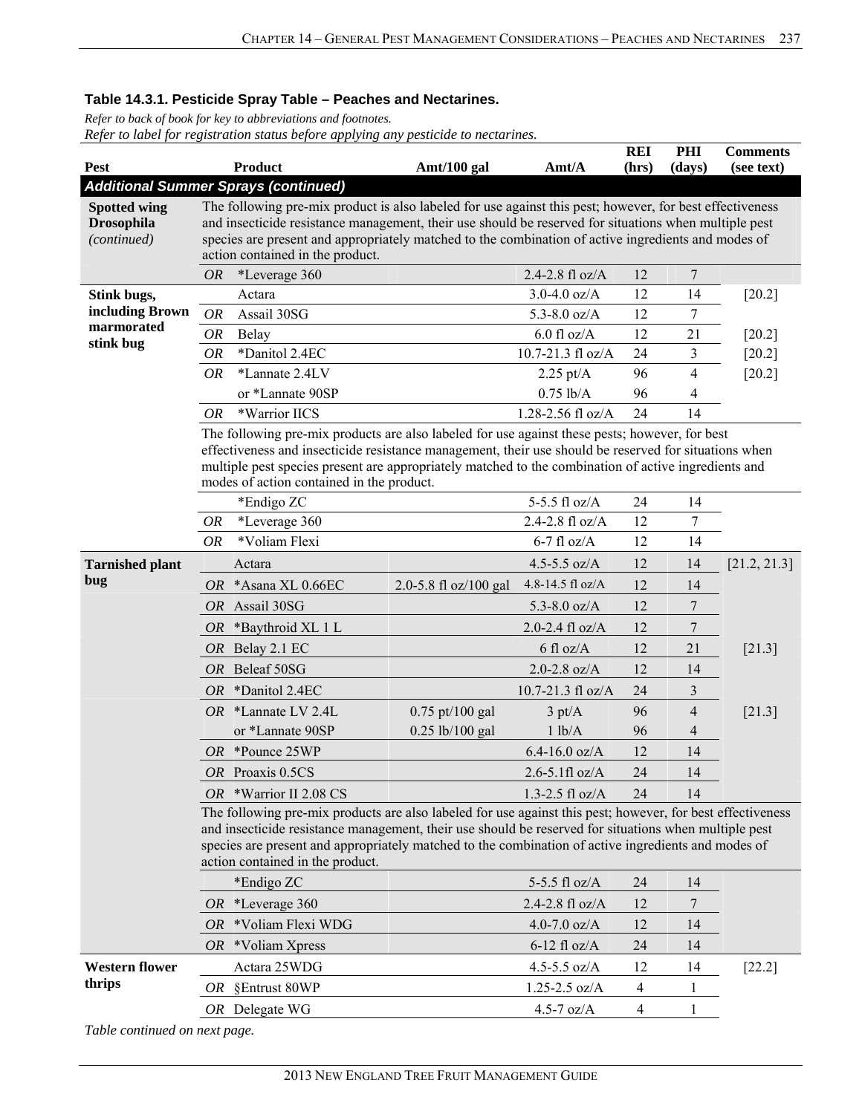*Refer to back of book for key to abbreviations and footnotes. Refer to label for registration status before applying any pesticide to nectarines.*

| <b>Pest</b>                                             |           | <b>Product</b>                                                                                                                                                                                                                                                                                                                                                 | Amt/100 gal           | Amt/A               | <b>REI</b><br>(hrs) | PHI<br>(days)    | <b>Comments</b><br>(see text) |
|---------------------------------------------------------|-----------|----------------------------------------------------------------------------------------------------------------------------------------------------------------------------------------------------------------------------------------------------------------------------------------------------------------------------------------------------------------|-----------------------|---------------------|---------------------|------------------|-------------------------------|
| <b>Additional Summer Sprays (continued)</b>             |           |                                                                                                                                                                                                                                                                                                                                                                |                       |                     |                     |                  |                               |
| <b>Spotted wing</b><br><b>Drosophila</b><br>(continued) |           | The following pre-mix product is also labeled for use against this pest; however, for best effectiveness<br>and insecticide resistance management, their use should be reserved for situations when multiple pest<br>species are present and appropriately matched to the combination of active ingredients and modes of<br>action contained in the product.   |                       |                     |                     |                  |                               |
|                                                         | <b>OR</b> | *Leverage 360                                                                                                                                                                                                                                                                                                                                                  |                       | 2.4-2.8 fl oz/A     | 12                  | 7                |                               |
| Stink bugs,                                             |           | Actara                                                                                                                                                                                                                                                                                                                                                         |                       | 3.0-4.0 $oz/A$      | 12                  | 14               | $[20.2]$                      |
| including Brown                                         | <b>OR</b> | Assail 30SG                                                                                                                                                                                                                                                                                                                                                    |                       | 5.3-8.0 $oz/A$      | 12                  | 7                |                               |
| marmorated<br>stink bug                                 | <b>OR</b> | Belay                                                                                                                                                                                                                                                                                                                                                          |                       | $6.0$ fl oz/A       | 12                  | 21               | $[20.2]$                      |
|                                                         | OR        | *Danitol 2.4EC                                                                                                                                                                                                                                                                                                                                                 |                       | 10.7-21.3 fl oz/A   | 24                  | 3                | $[20.2]$                      |
|                                                         | <b>OR</b> | *Lannate 2.4LV                                                                                                                                                                                                                                                                                                                                                 |                       | $2.25 \text{ pt/A}$ | 96                  | 4                | $[20.2]$                      |
|                                                         |           | or *Lannate 90SP                                                                                                                                                                                                                                                                                                                                               |                       | $0.75$ lb/A         | 96                  | 4                |                               |
|                                                         | OR        | *Warrior IICS                                                                                                                                                                                                                                                                                                                                                  |                       | 1.28-2.56 fl oz/A   | 24                  | 14               |                               |
|                                                         |           | The following pre-mix products are also labeled for use against these pests; however, for best<br>effectiveness and insecticide resistance management, their use should be reserved for situations when<br>multiple pest species present are appropriately matched to the combination of active ingredients and<br>modes of action contained in the product.   |                       |                     |                     |                  |                               |
|                                                         |           | *Endigo ZC                                                                                                                                                                                                                                                                                                                                                     |                       | 5-5.5 fl oz/A       | 24                  | 14               |                               |
|                                                         | OR        | *Leverage 360                                                                                                                                                                                                                                                                                                                                                  |                       | 2.4-2.8 fl $oz/A$   | 12                  | 7                |                               |
|                                                         | <b>OR</b> | *Voliam Flexi                                                                                                                                                                                                                                                                                                                                                  |                       | $6-7$ fl oz/A       | 12                  | 14               |                               |
| <b>Tarnished plant</b>                                  |           | Actara                                                                                                                                                                                                                                                                                                                                                         |                       | 4.5-5.5 $oz/A$      | 12                  | 14               | [21.2, 21.3]                  |
| bug                                                     |           | OR *Asana XL 0.66EC                                                                                                                                                                                                                                                                                                                                            | 2.0-5.8 fl oz/100 gal | 4.8-14.5 fl oz/A    | 12                  | 14               |                               |
|                                                         |           | OR Assail 30SG                                                                                                                                                                                                                                                                                                                                                 |                       | 5.3-8.0 $oz/A$      | 12                  | $\boldsymbol{7}$ |                               |
|                                                         |           | OR *Baythroid XL 1 L                                                                                                                                                                                                                                                                                                                                           |                       | $2.0 - 2.4$ fl oz/A | 12                  | 7                |                               |
|                                                         |           | OR Belay 2.1 EC                                                                                                                                                                                                                                                                                                                                                |                       | $6$ fl oz/A         | 12                  | 21               | [21.3]                        |
|                                                         |           | OR Beleaf 50SG                                                                                                                                                                                                                                                                                                                                                 |                       | $2.0 - 2.8$ oz/A    | 12                  | 14               |                               |
|                                                         | OR        | *Danitol 2.4EC                                                                                                                                                                                                                                                                                                                                                 |                       | 10.7-21.3 fl oz/A   | 24                  | 3                |                               |
|                                                         |           | OR *Lannate LV 2.4L                                                                                                                                                                                                                                                                                                                                            | $0.75$ pt/100 gal     | $3 \text{ pt/A}$    | 96                  | $\overline{4}$   | $[21.3]$                      |
|                                                         |           | or *Lannate 90SP                                                                                                                                                                                                                                                                                                                                               | $0.25$ lb/100 gal     | 1 lb/A              | 96                  | 4                |                               |
|                                                         |           | OR *Pounce 25WP                                                                                                                                                                                                                                                                                                                                                |                       | $6.4 - 16.0$ oz/A   | 12                  | 14               |                               |
|                                                         |           | OR Proaxis 0.5CS                                                                                                                                                                                                                                                                                                                                               |                       | $2.6 - 5.1$ fl oz/A | 24                  | 14               |                               |
|                                                         |           | OR *Warrior II 2.08 CS                                                                                                                                                                                                                                                                                                                                         |                       | $1.3 - 2.5$ fl oz/A | 24                  | 14               |                               |
|                                                         |           | The following pre-mix products are also labeled for use against this pest; however, for best effectiveness<br>and insecticide resistance management, their use should be reserved for situations when multiple pest<br>species are present and appropriately matched to the combination of active ingredients and modes of<br>action contained in the product. |                       |                     |                     |                  |                               |
|                                                         |           | *Endigo ZC                                                                                                                                                                                                                                                                                                                                                     |                       | 5-5.5 fl oz/A       | 24                  | 14               |                               |
|                                                         | OR        | *Leverage 360                                                                                                                                                                                                                                                                                                                                                  |                       | 2.4-2.8 fl oz/A     | 12                  | 7                |                               |
|                                                         | OR        | *Voliam Flexi WDG                                                                                                                                                                                                                                                                                                                                              |                       | 4.0-7.0 $oz/A$      | 12                  | 14               |                               |
|                                                         |           | $OR$ *Voliam Xpress                                                                                                                                                                                                                                                                                                                                            |                       | $6-12$ fl oz/A      | 24                  | 14               |                               |
| <b>Western flower</b>                                   |           | Actara 25WDG                                                                                                                                                                                                                                                                                                                                                   |                       | 4.5-5.5 $oz/A$      | 12                  | 14               | $[22.2]$                      |
| thrips                                                  | OR        | §Entrust 80WP                                                                                                                                                                                                                                                                                                                                                  |                       | $1.25 - 2.5$ oz/A   | 4                   | 1                |                               |
|                                                         |           | OR Delegate WG                                                                                                                                                                                                                                                                                                                                                 |                       | $4.5 - 7$ oz/A      | 4                   | 1                |                               |
|                                                         |           |                                                                                                                                                                                                                                                                                                                                                                |                       |                     |                     |                  |                               |

*Table continued on next page.*